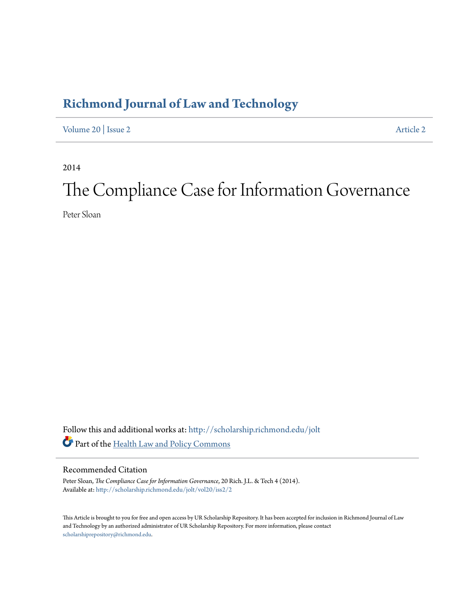# **[Richmond Journal of Law and Technology](http://scholarship.richmond.edu/jolt?utm_source=scholarship.richmond.edu%2Fjolt%2Fvol20%2Fiss2%2F2&utm_medium=PDF&utm_campaign=PDFCoverPages)**

[Volume 20](http://scholarship.richmond.edu/jolt/vol20?utm_source=scholarship.richmond.edu%2Fjolt%2Fvol20%2Fiss2%2F2&utm_medium=PDF&utm_campaign=PDFCoverPages) | [Issue 2](http://scholarship.richmond.edu/jolt/vol20/iss2?utm_source=scholarship.richmond.edu%2Fjolt%2Fvol20%2Fiss2%2F2&utm_medium=PDF&utm_campaign=PDFCoverPages) [Article 2](http://scholarship.richmond.edu/jolt/vol20/iss2/2?utm_source=scholarship.richmond.edu%2Fjolt%2Fvol20%2Fiss2%2F2&utm_medium=PDF&utm_campaign=PDFCoverPages)

2014

# The Compliance Case for Information Governance

Peter Sloan

Follow this and additional works at: [http://scholarship.richmond.edu/jolt](http://scholarship.richmond.edu/jolt?utm_source=scholarship.richmond.edu%2Fjolt%2Fvol20%2Fiss2%2F2&utm_medium=PDF&utm_campaign=PDFCoverPages) Part of the [Health Law and Policy Commons](http://network.bepress.com/hgg/discipline/901?utm_source=scholarship.richmond.edu%2Fjolt%2Fvol20%2Fiss2%2F2&utm_medium=PDF&utm_campaign=PDFCoverPages)

#### Recommended Citation

Peter Sloan, *The Compliance Case for Information Governance*, 20 Rich. J.L. & Tech 4 (2014). Available at: [http://scholarship.richmond.edu/jolt/vol20/iss2/2](http://scholarship.richmond.edu/jolt/vol20/iss2/2?utm_source=scholarship.richmond.edu%2Fjolt%2Fvol20%2Fiss2%2F2&utm_medium=PDF&utm_campaign=PDFCoverPages)

This Article is brought to you for free and open access by UR Scholarship Repository. It has been accepted for inclusion in Richmond Journal of Law and Technology by an authorized administrator of UR Scholarship Repository. For more information, please contact [scholarshiprepository@richmond.edu.](mailto:scholarshiprepository@richmond.edu)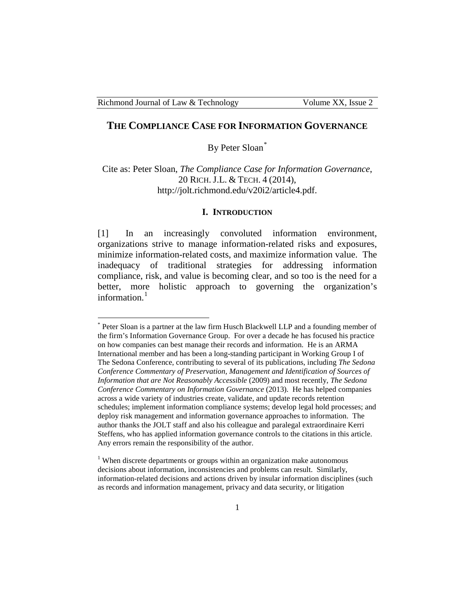#### **THE COMPLIANCE CASE FOR INFORMATION GOVERNANCE**

By Peter Sloan[\\*](#page-1-0)

Cite as: Peter Sloan, *The Compliance Case for Information Governance*, 20 RICH. J.L. & TECH. 4 (2014), http://jolt.richmond.edu/v20i2/article4.pdf.

#### **I. INTRODUCTION**

[1] In an increasingly convoluted information environment, organizations strive to manage information-related risks and exposures, minimize information-related costs, and maximize information value. The inadequacy of traditional strategies for addressing information compliance, risk, and value is becoming clear, and so too is the need for a better, more holistic approach to governing the organization's information. $<sup>1</sup>$  $<sup>1</sup>$  $<sup>1</sup>$ </sup>

<span id="page-1-0"></span>Peter Sloan is a partner at the law firm Husch Blackwell LLP and a founding member of the firm's Information Governance Group. For over a decade he has focused his practice on how companies can best manage their records and information. He is an ARMA International member and has been a long-standing participant in Working Group I of The Sedona Conference, contributing to several of its publications, including *The Sedona Conference Commentary of Preservation, Management and Identification of Sources of Information that are Not Reasonably Accessible* (2009) and most recently, *The Sedona Conference Commentary on Information Governance* (2013). He has helped companies across a wide variety of industries create, validate, and update records retention schedules; implement information compliance systems; develop legal hold processes; and deploy risk management and information governance approaches to information. The author thanks the JOLT staff and also his colleague and paralegal extraordinaire Kerri Steffens, who has applied information governance controls to the citations in this article. Any errors remain the responsibility of the author.

<span id="page-1-1"></span> $1$  When discrete departments or groups within an organization make autonomous decisions about information, inconsistencies and problems can result. Similarly, information-related decisions and actions driven by insular information disciplines (such as records and information management, privacy and data security, or litigation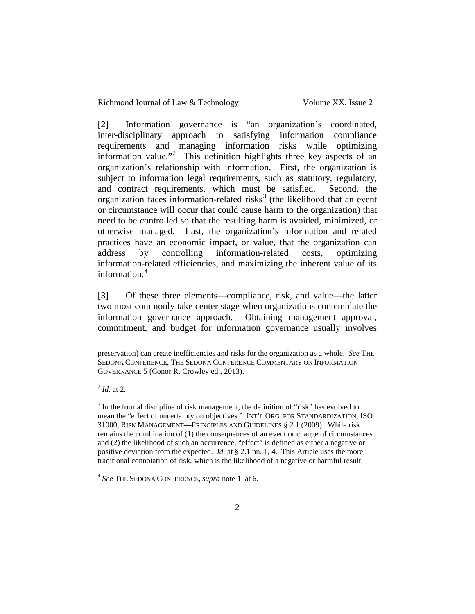| Richmond Journal of Law & Technology | Volume XX, Issue 2 |
|--------------------------------------|--------------------|
|--------------------------------------|--------------------|

[2] Information governance is "an organization's coordinated, inter-disciplinary approach to satisfying information compliance requirements and managing information risks while optimizing information value."<sup>[2](#page-2-0)</sup> This definition highlights three key aspects of an organization's relationship with information. First, the organization is subject to information legal requirements, such as statutory, regulatory, and contract requirements, which must be satisfied. Second, the organization faces information-related risks<sup>[3](#page-2-1)</sup> (the likelihood that an event or circumstance will occur that could cause harm to the organization) that need to be controlled so that the resulting harm is avoided, minimized, or otherwise managed. Last, the organization's information and related practices have an economic impact, or value, that the organization can address by controlling information-related costs, optimizing information-related efficiencies, and maximizing the inherent value of its information.<sup>[4](#page-2-2)</sup>

[3] Of these three elements—compliance, risk, and value—the latter two most commonly take center stage when organizations contemplate the information governance approach. Obtaining management approval, commitment, and budget for information governance usually involves

<span id="page-2-0"></span><sup>2</sup> *Id.* at 2.

<span id="page-2-1"></span><sup>3</sup> In the formal discipline of risk management, the definition of "risk" has evolved to mean the "effect of uncertainty on objectives." INT'L ORG. FOR STANDARDIZATION, ISO 31000, RISK MANAGEMENT—PRINCIPLES AND GUIDELINES § 2.1 (2009). While risk remains the combination of (1) the consequences of an event or change of circumstances and (2) the likelihood of such an occurrence, "effect" is defined as either a negative or positive deviation from the expected. *Id.* at § 2.1 nn. 1, 4. This Article uses the more traditional connotation of risk, which is the likelihood of a negative or harmful result.

preservation) can create inefficiencies and risks for the organization as a whole. *See* THE SEDONA CONFERENCE, THE SEDONA CONFERENCE COMMENTARY ON INFORMATION GOVERNANCE 5 (Conor R. Crowley ed., 2013).

<span id="page-2-2"></span><sup>4</sup> *See* THE SEDONA CONFERENCE, *supra* note 1, at 6.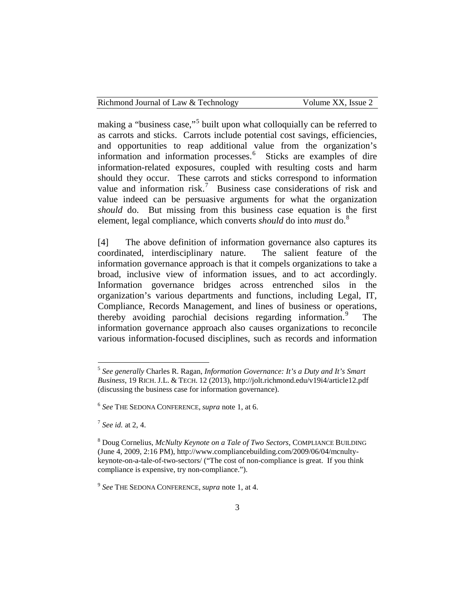| Richmond Journal of Law & Technology | Volume XX, Issue 2 |
|--------------------------------------|--------------------|
|                                      |                    |

making a "business case,"<sup>[5](#page-3-0)</sup> built upon what colloquially can be referred to as carrots and sticks. Carrots include potential cost savings, efficiencies, and opportunities to reap additional value from the organization's information and information processes.<sup>[6](#page-3-1)</sup> Sticks are examples of dire information-related exposures, coupled with resulting costs and harm should they occur. These carrots and sticks correspond to information value and information risk.<sup>[7](#page-3-2)</sup> Business case considerations of risk and value indeed can be persuasive arguments for what the organization *should* do. But missing from this business case equation is the first element, legal compliance, which converts *should* do into *must* do.[8](#page-3-3)

[4] The above definition of information governance also captures its coordinated, interdisciplinary nature. The salient feature of the information governance approach is that it compels organizations to take a broad, inclusive view of information issues, and to act accordingly. Information governance bridges across entrenched silos in the organization's various departments and functions, including Legal, IT, Compliance, Records Management, and lines of business or operations, thereby avoiding parochial decisions regarding information.<sup>[9](#page-3-4)</sup> The information governance approach also causes organizations to reconcile various information-focused disciplines, such as records and information

<span id="page-3-2"></span><sup>7</sup> *See id.* at 2, 4.

<span id="page-3-0"></span> <sup>5</sup> *See generally* Charles R. Ragan, *Information Governance: It's a Duty and It's Smart Business*, 19 RICH. J.L. & TECH. 12 (2013), http://jolt.richmond.edu/v19i4/article12.pdf (discussing the business case for information governance).

<span id="page-3-1"></span><sup>6</sup> *See* THE SEDONA CONFERENCE, *supra* note 1, at 6.

<span id="page-3-3"></span><sup>8</sup> Doug Cornelius, *McNulty Keynote on a Tale of Two Sectors*, COMPLIANCE BUILDING (June 4, 2009, 2:16 PM), http://www.compliancebuilding.com/2009/06/04/mcnultykeynote-on-a-tale-of-two-sectors/ ("The cost of non-compliance is great. If you think compliance is expensive, try non-compliance.").

<span id="page-3-4"></span><sup>9</sup> *See* THE SEDONA CONFERENCE, *supra* note 1, at 4.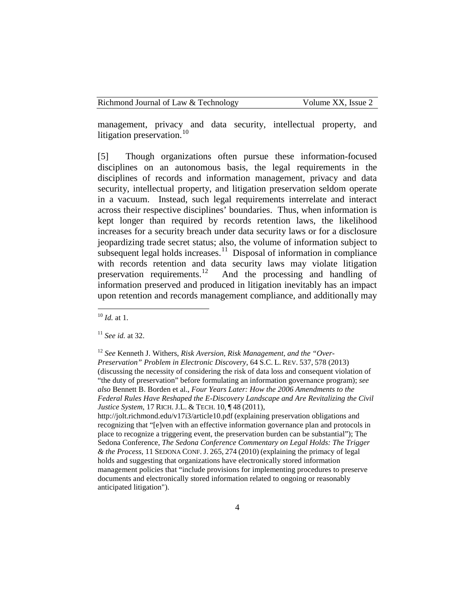management, privacy and data security, intellectual property, and litigation preservation.<sup>[10](#page-4-0)</sup>

[5] Though organizations often pursue these information-focused disciplines on an autonomous basis, the legal requirements in the disciplines of records and information management, privacy and data security, intellectual property, and litigation preservation seldom operate in a vacuum. Instead, such legal requirements interrelate and interact across their respective disciplines' boundaries. Thus, when information is kept longer than required by records retention laws, the likelihood increases for a security breach under data security laws or for a disclosure jeopardizing trade secret status; also, the volume of information subject to subsequent legal holds increases.<sup>11</sup> Disposal of information in compliance with records retention and data security laws may violate litigation preservation requirements.<sup>12</sup> And the processing and handling of And the processing and handling of information preserved and produced in litigation inevitably has an impact upon retention and records management compliance, and additionally may

http://jolt.richmond.edu/v17i3/article10.pdf (explaining preservation obligations and recognizing that "[e]ven with an effective information governance plan and protocols in place to recognize a triggering event, the preservation burden can be substantial"); The Sedona Conference, *The Sedona Conference Commentary on Legal Holds: The Trigger & the Process*, 11 SEDONA CONF. J. 265, 274 (2010) (explaining the primacy of legal holds and suggesting that organizations have electronically stored information management policies that "include provisions for implementing procedures to preserve documents and electronically stored information related to ongoing or reasonably anticipated litigation").

<span id="page-4-0"></span> <sup>10</sup> *Id.* at 1.

<span id="page-4-1"></span><sup>11</sup> *See id.* at 32.

<span id="page-4-2"></span><sup>12</sup> *See* Kenneth J. Withers, *Risk Aversion, Risk Management, and the "Over-Preservation" Problem in Electronic Discovery*, 64 S.C. L. REV. 537, 578 (2013) (discussing the necessity of considering the risk of data loss and consequent violation of "the duty of preservation" before formulating an information governance program); *see also* Bennett B. Borden et al., *Four Years Later: How the 2006 Amendments to the Federal Rules Have Reshaped the E-Discovery Landscape and Are Revitalizing the Civil Justice System*, 17 RICH. J.L. & TECH. 10, ¶ 48 (2011),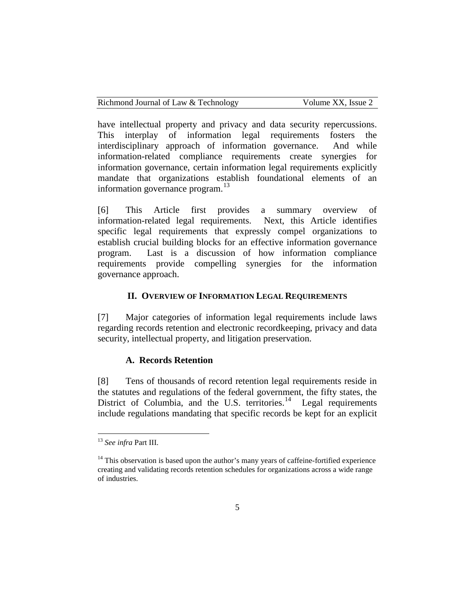| Richmond Journal of Law & Technology |  |  |  |  |
|--------------------------------------|--|--|--|--|
|--------------------------------------|--|--|--|--|

Volume XX, Issue 2

have intellectual property and privacy and data security repercussions. This interplay of information legal requirements fosters the interdisciplinary approach of information governance. And while information-related compliance requirements create synergies for information governance, certain information legal requirements explicitly mandate that organizations establish foundational elements of an information governance program.<sup>[13](#page-5-0)</sup>

[6] This Article first provides a summary overview of information-related legal requirements. Next, this Article identifies specific legal requirements that expressly compel organizations to establish crucial building blocks for an effective information governance program. Last is a discussion of how information compliance requirements provide compelling synergies for the information governance approach.

#### **II. OVERVIEW OF INFORMATION LEGAL REQUIREMENTS**

[7] Major categories of information legal requirements include laws regarding records retention and electronic recordkeeping, privacy and data security, intellectual property, and litigation preservation.

#### **A. Records Retention**

[8] Tens of thousands of record retention legal requirements reside in the statutes and regulations of the federal government, the fifty states, the District of Columbia, and the U.S. territories.<sup>[14](#page-5-1)</sup> Legal requirements include regulations mandating that specific records be kept for an explicit

<span id="page-5-0"></span> <sup>13</sup> *See infra* Part III.

<span id="page-5-1"></span> $14$  This observation is based upon the author's many years of caffeine-fortified experience creating and validating records retention schedules for organizations across a wide range of industries.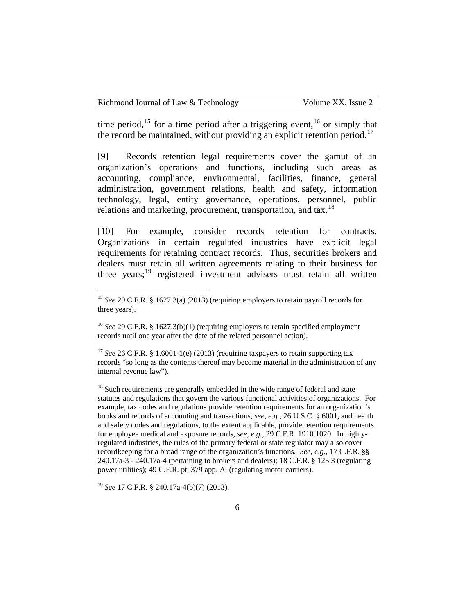time period,  $15$  for a time period after a triggering event,  $16$  or simply that the record be maintained, without providing an explicit retention period.<sup>17</sup>

[9] Records retention legal requirements cover the gamut of an organization's operations and functions, including such areas as accounting, compliance, environmental, facilities, finance, general administration, government relations, health and safety, information technology, legal, entity governance, operations, personnel, public relations and marketing, procurement, transportation, and tax.<sup>[18](#page-6-3)</sup>

[10] For example, consider records retention for contracts. Organizations in certain regulated industries have explicit legal requirements for retaining contract records. Thus, securities brokers and dealers must retain all written agreements relating to their business for three years; $^{19}$  $^{19}$  $^{19}$  registered investment advisers must retain all written

<span id="page-6-3"></span> $18$  Such requirements are generally embedded in the wide range of federal and state statutes and regulations that govern the various functional activities of organizations. For example, tax codes and regulations provide retention requirements for an organization's books and records of accounting and transactions, *see, e.g.*, 26 U.S.C. § 6001, and health and safety codes and regulations, to the extent applicable, provide retention requirements for employee medical and exposure records, *see, e.g.*, 29 C.F.R. 1910.1020. In highlyregulated industries, the rules of the primary federal or state regulator may also cover recordkeeping for a broad range of the organization's functions. *See, e.g.*, 17 C.F.R. §§ 240.17a-3 - 240.17a-4 (pertaining to brokers and dealers); 18 C.F.R. § 125.3 (regulating power utilities); 49 C.F.R. pt. 379 app. A. (regulating motor carriers).

<span id="page-6-0"></span> <sup>15</sup> *See* 29 C.F.R. § 1627.3(a) (2013) (requiring employers to retain payroll records for three years).

<span id="page-6-1"></span><sup>&</sup>lt;sup>16</sup> *See* 29 C.F.R. § 1627.3(b)(1) (requiring employers to retain specified employment records until one year after the date of the related personnel action).

<span id="page-6-2"></span><sup>&</sup>lt;sup>17</sup> *See* 26 C.F.R. § 1.6001-1(e) (2013) (requiring taxpayers to retain supporting tax records "so long as the contents thereof may become material in the administration of any internal revenue law").

<span id="page-6-4"></span><sup>19</sup> *See* 17 C.F.R. § 240.17a-4(b)(7) (2013).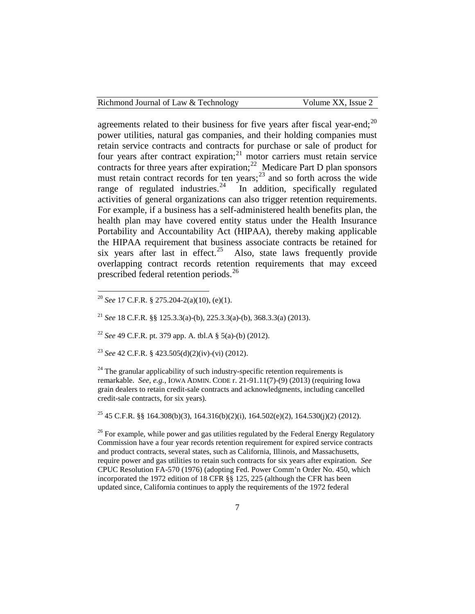| Richmond Journal of Law & Technology | Volume XX, Issue 2 |
|--------------------------------------|--------------------|
|                                      |                    |

agreements related to their business for five years after fiscal year-end;  $2^{0}$ power utilities, natural gas companies, and their holding companies must retain service contracts and contracts for purchase or sale of product for four years after contract expiration;<sup>[21](#page-7-1)</sup> motor carriers must retain service contracts for three years after expiration;<sup>[22](#page-7-2)</sup> Medicare Part D plan sponsors must retain contract records for ten years;<sup>[23](#page-7-3)</sup> and so forth across the wide range of regulated industries.<sup>[24](#page-7-4)</sup> In addition, specifically regulated activities of general organizations can also trigger retention requirements. For example, if a business has a self-administered health benefits plan, the health plan may have covered entity status under the Health Insurance Portability and Accountability Act (HIPAA), thereby making applicable the HIPAA requirement that business associate contracts be retained for six years after last in effect.<sup>25</sup> Also, state laws frequently provide overlapping contract records retention requirements that may exceed prescribed federal retention periods.<sup>26</sup>

<span id="page-7-3"></span><sup>23</sup> *See* 42 C.F.R. § 423.505(d)(2)(iv)-(vi) (2012).

<span id="page-7-4"></span> $24$  The granular applicability of such industry-specific retention requirements is remarkable. *See, e.g.*, IOWA ADMIN. CODE r. 21-91.11(7)-(9) (2013) (requiring Iowa grain dealers to retain credit-sale contracts and acknowledgments, including cancelled credit-sale contracts, for six years).

<span id="page-7-5"></span><sup>25</sup> 45 C.F.R. §§ 164.308(b)(3), 164.316(b)(2)(i), 164.502(e)(2), 164.530(j)(2) (2012).

<span id="page-7-6"></span> $26$  For example, while power and gas utilities regulated by the Federal Energy Regulatory Commission have a four year records retention requirement for expired service contracts and product contracts, several states, such as California, Illinois, and Massachusetts, require power and gas utilities to retain such contracts for six years after expiration. *See*  CPUC Resolution FA-570 (1976) (adopting Fed. Power Comm'n Order No. 450, which incorporated the 1972 edition of 18 CFR §§ 125, 225 (although the CFR has been updated since, California continues to apply the requirements of the 1972 federal

<span id="page-7-0"></span> <sup>20</sup> *See* <sup>17</sup> C.F.R. § 275.204-2(a)(10), (e)(1).

<span id="page-7-1"></span><sup>21</sup> *See* 18 C.F.R. §§ 125.3.3(a)-(b), 225.3.3(a)-(b), 368.3.3(a) (2013).

<span id="page-7-2"></span><sup>22</sup> *See* 49 C.F.R. pt. 379 app. A. tbl.A § 5(a)-(b) (2012).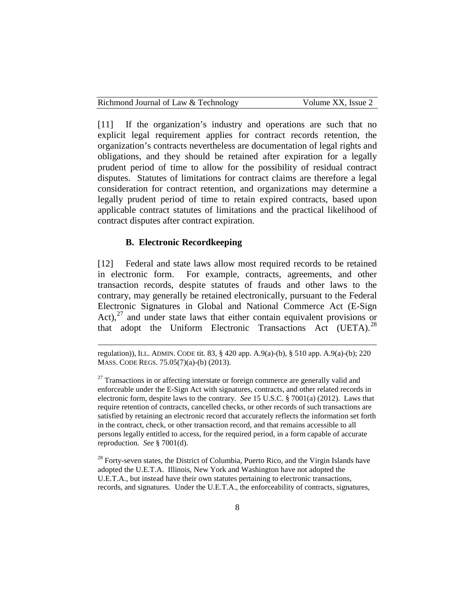[11] If the organization's industry and operations are such that no explicit legal requirement applies for contract records retention, the organization's contracts nevertheless are documentation of legal rights and obligations, and they should be retained after expiration for a legally prudent period of time to allow for the possibility of residual contract disputes. Statutes of limitations for contract claims are therefore a legal consideration for contract retention, and organizations may determine a legally prudent period of time to retain expired contracts, based upon applicable contract statutes of limitations and the practical likelihood of contract disputes after contract expiration.

# **B. Electronic Recordkeeping**

[12] Federal and state laws allow most required records to be retained in electronic form. For example, contracts, agreements, and other transaction records, despite statutes of frauds and other laws to the contrary, may generally be retained electronically, pursuant to the Federal Electronic Signatures in Global and National Commerce Act (E-Sign Act), $^{27}$  $^{27}$  $^{27}$  and under state laws that either contain equivalent provisions or that adopt the Uniform Electronic Transactions Act (UETA). $^{28}$  $^{28}$  $^{28}$ 

<span id="page-8-1"></span> $28$  Forty-seven states, the District of Columbia, Puerto Rico, and the Virgin Islands have adopted the U.E.T.A. Illinois, New York and Washington have not adopted the U.E.T.A., but instead have their own statutes pertaining to electronic transactions, records, and signatures. Under the U.E.T.A., the enforceability of contracts, signatures,

regulation)), ILL. ADMIN. CODE tit. 83, § 420 app. A.9(a)-(b), § 510 app. A.9(a)-(b); 220 MASS. CODE REGS. 75.05(7)(a)-(b) (2013).

<span id="page-8-0"></span> $27$  Transactions in or affecting interstate or foreign commerce are generally valid and enforceable under the E-Sign Act with signatures, contracts, and other related records in electronic form, despite laws to the contrary. *See* 15 U.S.C. § 7001(a) (2012). Laws that require retention of contracts, cancelled checks, or other records of such transactions are satisfied by retaining an electronic record that accurately reflects the information set forth in the contract, check, or other transaction record, and that remains accessible to all persons legally entitled to access, for the required period, in a form capable of accurate reproduction. *See* § 7001(d).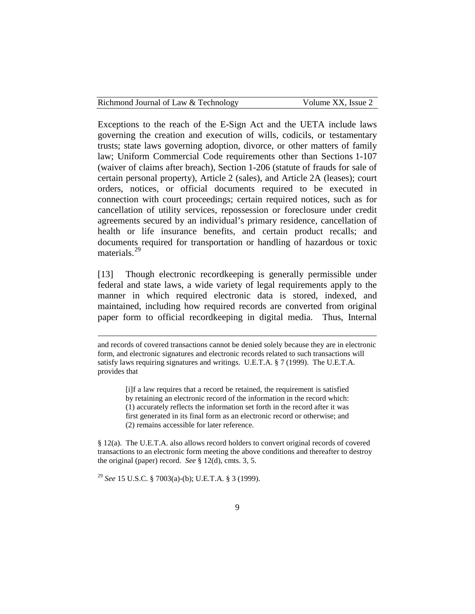| Richmond Journal of Law & Technology | Volume XX, Issue 2 |
|--------------------------------------|--------------------|
|--------------------------------------|--------------------|

Exceptions to the reach of the E-Sign Act and the UETA include laws governing the creation and execution of wills, codicils, or testamentary trusts; state laws governing adoption, divorce, or other matters of family law; Uniform Commercial Code requirements other than Sections 1-107 (waiver of claims after breach), Section 1-206 (statute of frauds for sale of certain personal property), Article 2 (sales), and Article 2A (leases); court orders, notices, or official documents required to be executed in connection with court proceedings; certain required notices, such as for cancellation of utility services, repossession or foreclosure under credit agreements secured by an individual's primary residence, cancellation of health or life insurance benefits, and certain product recalls; and documents required for transportation or handling of hazardous or toxic materials.<sup>[29](#page-9-0)</sup>

[13] Though electronic recordkeeping is generally permissible under federal and state laws, a wide variety of legal requirements apply to the manner in which required electronic data is stored, indexed, and maintained, including how required records are converted from original paper form to official recordkeeping in digital media. Thus, Internal

[i]f a law requires that a record be retained, the requirement is satisfied by retaining an electronic record of the information in the record which: (1) accurately reflects the information set forth in the record after it was first generated in its final form as an electronic record or otherwise; and (2) remains accessible for later reference.

§ 12(a). The U.E.T.A. also allows record holders to convert original records of covered transactions to an electronic form meeting the above conditions and thereafter to destroy the original (paper) record. *See* § 12(d), cmts. 3, 5.

<span id="page-9-0"></span><sup>29</sup> *See* 15 U.S.C. § 7003(a)-(b); U.E.T.A. § 3 (1999).

and records of covered transactions cannot be denied solely because they are in electronic form, and electronic signatures and electronic records related to such transactions will satisfy laws requiring signatures and writings. U.E.T.A. § 7 (1999). The U.E.T.A. provides that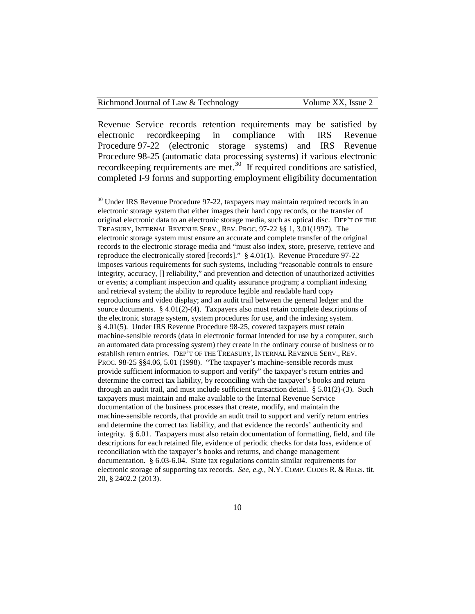Revenue Service records retention requirements may be satisfied by electronic recordkeeping in compliance with IRS Revenue Procedure 97-22 (electronic storage systems) and IRS Revenue Procedure 98-25 (automatic data processing systems) if various electronic recordkeeping requirements are met.<sup>[30](#page-10-0)</sup> If required conditions are satisfied, completed I-9 forms and supporting employment eligibility documentation

<span id="page-10-0"></span><sup>&</sup>lt;sup>30</sup> Under IRS Revenue Procedure 97-22, taxpayers may maintain required records in an electronic storage system that either images their hard copy records, or the transfer of original electronic data to an electronic storage media, such as optical disc. DEP'T OF THE TREASURY, INTERNAL REVENUE SERV., REV. PROC. 97-22 §§ 1, 3.01(1997). The electronic storage system must ensure an accurate and complete transfer of the original records to the electronic storage media and "must also index, store, preserve, retrieve and reproduce the electronically stored [records]." § 4.01(1). Revenue Procedure 97-22 imposes various requirements for such systems, including "reasonable controls to ensure integrity, accuracy, [] reliability," and prevention and detection of unauthorized activities or events; a compliant inspection and quality assurance program; a compliant indexing and retrieval system; the ability to reproduce legible and readable hard copy reproductions and video display; and an audit trail between the general ledger and the source documents. § 4.01(2)-(4). Taxpayers also must retain complete descriptions of the electronic storage system, system procedures for use, and the indexing system. § 4.01(5). Under IRS Revenue Procedure 98-25, covered taxpayers must retain machine-sensible records (data in electronic format intended for use by a computer, such an automated data processing system) they create in the ordinary course of business or to establish return entries. DEP'T OF THE TREASURY, INTERNAL REVENUE SERV., REV. PROC. 98-25 §§4.06, 5.01 (1998). "The taxpayer's machine-sensible records must provide sufficient information to support and verify" the taxpayer's return entries and determine the correct tax liability, by reconciling with the taxpayer's books and return through an audit trail, and must include sufficient transaction detail.  $\S 5.01(2)-(3)$ . Such taxpayers must maintain and make available to the Internal Revenue Service documentation of the business processes that create, modify, and maintain the machine-sensible records, that provide an audit trail to support and verify return entries and determine the correct tax liability, and that evidence the records' authenticity and integrity. § 6.01. Taxpayers must also retain documentation of formatting, field, and file descriptions for each retained file, evidence of periodic checks for data loss, evidence of reconciliation with the taxpayer's books and returns, and change management documentation. § 6.03-6.04. State tax regulations contain similar requirements for electronic storage of supporting tax records. *See, e.g.*, N.Y. COMP. CODES R. & REGS. tit. 20, § 2402.2 (2013).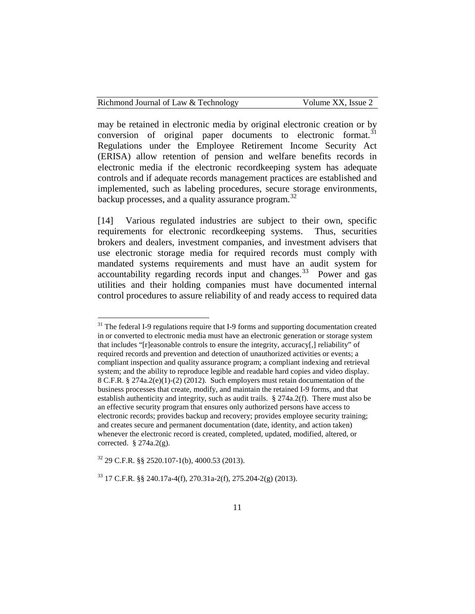may be retained in electronic media by original electronic creation or by conversion of original paper documents to electronic format.<sup>[31](#page-11-0)</sup> Regulations under the Employee Retirement Income Security Act (ERISA) allow retention of pension and welfare benefits records in electronic media if the electronic recordkeeping system has adequate controls and if adequate records management practices are established and implemented, such as labeling procedures, secure storage environments, backup processes, and a quality assurance program. $32$ 

[14] Various regulated industries are subject to their own, specific requirements for electronic recordkeeping systems. Thus, securities brokers and dealers, investment companies, and investment advisers that use electronic storage media for required records must comply with mandated systems requirements and must have an audit system for accountability regarding records input and changes.<sup>33</sup> Power and gas utilities and their holding companies must have documented internal control procedures to assure reliability of and ready access to required data

<span id="page-11-0"></span><sup>&</sup>lt;sup>31</sup> The federal I-9 regulations require that I-9 forms and supporting documentation created in or converted to electronic media must have an electronic generation or storage system that includes "[r]easonable controls to ensure the integrity, accuracy[,] reliability" of required records and prevention and detection of unauthorized activities or events; a compliant inspection and quality assurance program; a compliant indexing and retrieval system; and the ability to reproduce legible and readable hard copies and video display. 8 C.F.R. § 274a.2(e)(1)-(2) (2012). Such employers must retain documentation of the business processes that create, modify, and maintain the retained I-9 forms, and that establish authenticity and integrity, such as audit trails. § 274a.2(f). There must also be an effective security program that ensures only authorized persons have access to electronic records; provides backup and recovery; provides employee security training; and creates secure and permanent documentation (date, identity, and action taken) whenever the electronic record is created, completed, updated, modified, altered, or corrected.  $§$  274a.2(g).

<span id="page-11-1"></span> $32$  29 C.F.R. §§ 2520.107-1(b), 4000.53 (2013).

<span id="page-11-2"></span> $33$  17 C.F.R. §§ 240.17a-4(f), 270.31a-2(f), 275.204-2(g) (2013).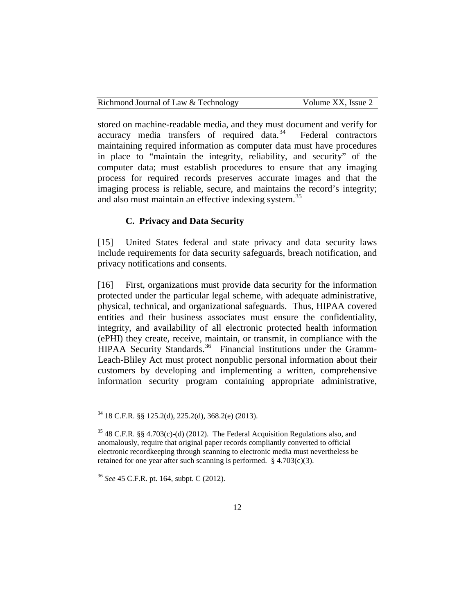| Richmond Journal of Law & Technology | Volume XX, Issue 2 |
|--------------------------------------|--------------------|
|                                      |                    |

stored on machine-readable media, and they must document and verify for  $accuracy$  media transfers of required data.<sup>[34](#page-12-0)</sup> Federal contractors maintaining required information as computer data must have procedures in place to "maintain the integrity, reliability, and security" of the computer data; must establish procedures to ensure that any imaging process for required records preserves accurate images and that the imaging process is reliable, secure, and maintains the record's integrity; and also must maintain an effective indexing system.<sup>[35](#page-12-1)</sup>

#### **C. Privacy and Data Security**

[15] United States federal and state privacy and data security laws include requirements for data security safeguards, breach notification, and privacy notifications and consents.

[16] First, organizations must provide data security for the information protected under the particular legal scheme, with adequate administrative, physical, technical, and organizational safeguards. Thus, HIPAA covered entities and their business associates must ensure the confidentiality, integrity, and availability of all electronic protected health information (ePHI) they create, receive, maintain, or transmit, in compliance with the HIPAA Security Standards.<sup>36</sup> Financial institutions under the Gramm-Leach-Bliley Act must protect nonpublic personal information about their customers by developing and implementing a written, comprehensive information security program containing appropriate administrative,

<span id="page-12-0"></span> <sup>34</sup> <sup>18</sup> C.F.R. §§ 125.2(d), 225.2(d), 368.2(e) (2013).

<span id="page-12-1"></span> $35$  48 C.F.R. §§ 4.703(c)-(d) (2012). The Federal Acquisition Regulations also, and anomalously, require that original paper records compliantly converted to official electronic recordkeeping through scanning to electronic media must nevertheless be retained for one year after such scanning is performed.  $§$  4.703(c)(3).

<span id="page-12-2"></span><sup>36</sup> *See* 45 C.F.R. pt. 164, subpt. C (2012).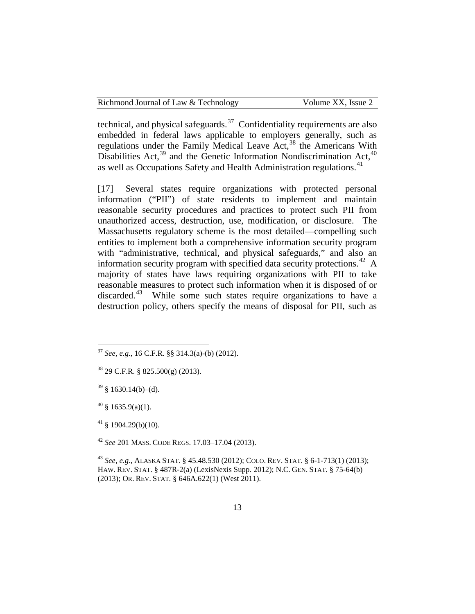| Richmond Journal of Law & Technology | Volume XX, Issue 2 |
|--------------------------------------|--------------------|
|--------------------------------------|--------------------|

technical, and physical safeguards.<sup>[37](#page-13-0)</sup> Confidentiality requirements are also embedded in federal laws applicable to employers generally, such as regulations under the Family Medical Leave Act,<sup>[38](#page-13-1)</sup> the Americans With Disabilities Act, $39$  and the Genetic Information Nondiscrimination Act, $40$ as well as Occupations Safety and Health Administration regulations.<sup>[41](#page-13-4)</sup>

[17] Several states require organizations with protected personal information ("PII") of state residents to implement and maintain reasonable security procedures and practices to protect such PII from unauthorized access, destruction, use, modification, or disclosure. The Massachusetts regulatory scheme is the most detailed—compelling such entities to implement both a comprehensive information security program with "administrative, technical, and physical safeguards," and also an information security program with specified data security protections.<sup>[42](#page-13-5)</sup> A majority of states have laws requiring organizations with PII to take reasonable measures to protect such information when it is disposed of or discarded.<sup>43</sup> While some such states require organizations to have a destruction policy, others specify the means of disposal for PII, such as

<span id="page-13-3"></span> $40 \text{ } 8 \text{ } 1635.9(a)(1)$ .

<span id="page-13-5"></span><sup>42</sup> *See* 201 MASS. CODE REGS. 17.03–17.04 (2013).

<span id="page-13-0"></span> <sup>37</sup> *See, e.g.*, <sup>16</sup> C.F.R. §§ 314.3(a)-(b) (2012).

<span id="page-13-1"></span> $38$  29 C.F.R. § 825.500(g) (2013).

<span id="page-13-2"></span> $39 \& 1630.14(b) - (d)$ .

<span id="page-13-4"></span> $41 \& 1904.29(b)(10)$ .

<span id="page-13-6"></span><sup>43</sup> *See, e.g.*, ALASKA STAT. § 45.48.530 (2012); COLO. REV. STAT. § 6-1-713(1) (2013); HAW. REV. STAT. § 487R-2(a) (LexisNexis Supp. 2012); N.C. GEN. STAT. § 75-64(b) (2013); OR. REV. STAT. § 646A.622(1) (West 2011).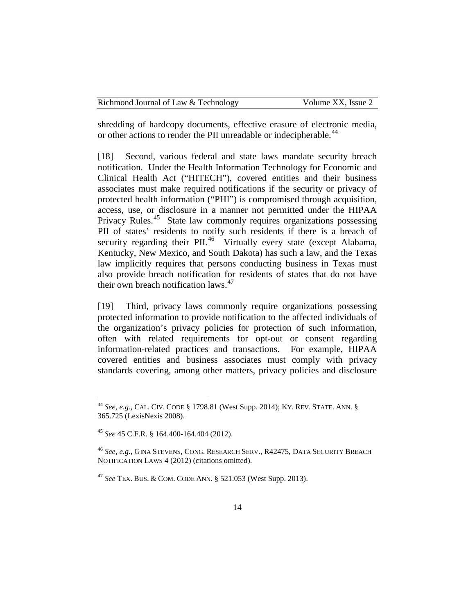| Richmond Journal of Law & Technology | Volume XX, Issue 2 |
|--------------------------------------|--------------------|
|--------------------------------------|--------------------|

shredding of hardcopy documents, effective erasure of electronic media, or other actions to render the PII unreadable or indecipherable.<sup>[44](#page-14-0)</sup>

[18] Second, various federal and state laws mandate security breach notification. Under the Health Information Technology for Economic and Clinical Health Act ("HITECH"), covered entities and their business associates must make required notifications if the security or privacy of protected health information ("PHI") is compromised through acquisition, access, use, or disclosure in a manner not permitted under the HIPAA Privacy Rules.<sup>[45](#page-14-1)</sup> State law commonly requires organizations possessing PII of states' residents to notify such residents if there is a breach of security regarding their PII.<sup>[46](#page-14-2)</sup> Virtually every state (except Alabama, Kentucky, New Mexico, and South Dakota) has such a law, and the Texas law implicitly requires that persons conducting business in Texas must also provide breach notification for residents of states that do not have their own breach notification laws. $47$ 

[19] Third, privacy laws commonly require organizations possessing protected information to provide notification to the affected individuals of the organization's privacy policies for protection of such information, often with related requirements for opt-out or consent regarding information-related practices and transactions. For example, HIPAA covered entities and business associates must comply with privacy standards covering, among other matters, privacy policies and disclosure

<span id="page-14-0"></span> <sup>44</sup> *See, e.g.*, CAL. CIV. CODE § 1798.81 (West Supp. 2014); KY. REV. STATE. ANN. § 365.725 (LexisNexis 2008).

<span id="page-14-1"></span><sup>45</sup> *See* 45 C.F.R. § 164.400-164.404 (2012).

<span id="page-14-2"></span><sup>46</sup> *See, e.g.*, GINA STEVENS, CONG. RESEARCH SERV., R42475, DATA SECURITY BREACH NOTIFICATION LAWS 4 (2012) (citations omitted).

<span id="page-14-3"></span><sup>47</sup> *See* TEX. BUS. & COM. CODE ANN. § 521.053 (West Supp. 2013).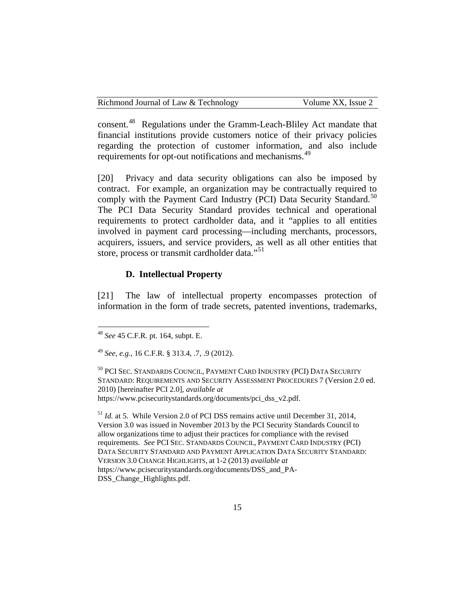| Richmond Journal of Law & Technology | Volume XX, Issue 2 |
|--------------------------------------|--------------------|
|--------------------------------------|--------------------|

consent.[48](#page-15-0) Regulations under the Gramm-Leach-Bliley Act mandate that financial institutions provide customers notice of their privacy policies regarding the protection of customer information, and also include requirements for opt-out notifications and mechanisms.<sup>[49](#page-15-1)</sup>

[20] Privacy and data security obligations can also be imposed by contract. For example, an organization may be contractually required to comply with the Payment Card Industry (PCI) Data Security Standard.<sup>[50](#page-15-2)</sup> The PCI Data Security Standard provides technical and operational requirements to protect cardholder data, and it "applies to all entities involved in payment card processing—including merchants, processors, acquirers, issuers, and service providers, as well as all other entities that store, process or transmit cardholder data."<sup>51</sup>

#### **D. Intellectual Property**

[21] The law of intellectual property encompasses protection of information in the form of trade secrets, patented inventions, trademarks,

<span id="page-15-3"></span><sup>51</sup> *Id.* at 5. While Version 2.0 of PCI DSS remains active until December 31, 2014, Version 3.0 was issued in November 2013 by the PCI Security Standards Council to allow organizations time to adjust their practices for compliance with the revised requirements. *See* PCI SEC. STANDARDS COUNCIL, PAYMENT CARD INDUSTRY (PCI) DATA SECURITY STANDARD AND PAYMENT APPLICATION DATA SECURITY STANDARD: VERSION 3.0 CHANGE HIGHLIGHTS, at 1-2 (2013) *available at*  https://www.pcisecuritystandards.org/documents/DSS\_and\_PA-DSS Change Highlights.pdf.

<span id="page-15-0"></span> <sup>48</sup> *See* <sup>45</sup> C.F.R. pt. 164, subpt. E.

<span id="page-15-1"></span><sup>49</sup> *See, e.g.*, 16 C.F.R. § 313.4, .7, .9 (2012).

<span id="page-15-2"></span><sup>50</sup> PCI SEC. STANDARDS COUNCIL, PAYMENT CARD INDUSTRY (PCI) DATA SECURITY STANDARD: REQUIREMENTS AND SECURITY ASSESSMENT PROCEDURES 7 (Version 2.0 ed. 2010) [hereinafter PCI 2.0], *available at* https://www.pcisecuritystandards.org/documents/pci\_dss\_v2.pdf.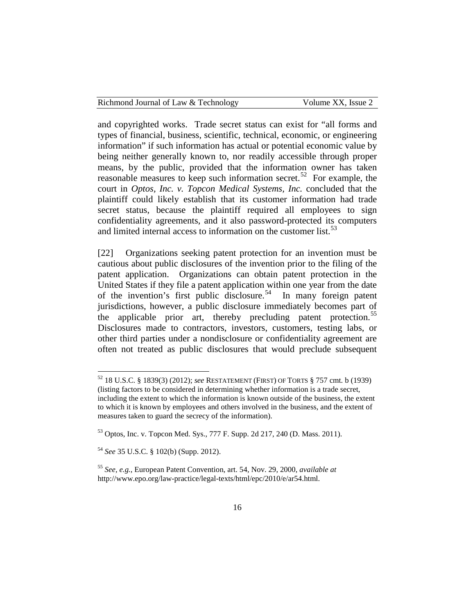| Richmond Journal of Law & Technology | Volume XX, Issue 2 |
|--------------------------------------|--------------------|
|--------------------------------------|--------------------|

and copyrighted works. Trade secret status can exist for "all forms and types of financial, business, scientific, technical, economic, or engineering information" if such information has actual or potential economic value by being neither generally known to, nor readily accessible through proper means, by the public, provided that the information owner has taken reasonable measures to keep such information secret.<sup>52</sup> For example, the court in *Optos, Inc. v. Topcon Medical Systems, Inc.* concluded that the plaintiff could likely establish that its customer information had trade secret status, because the plaintiff required all employees to sign confidentiality agreements, and it also password-protected its computers and limited internal access to information on the customer list. $53$ 

[22] Organizations seeking patent protection for an invention must be cautious about public disclosures of the invention prior to the filing of the patent application. Organizations can obtain patent protection in the United States if they file a patent application within one year from the date of the invention's first public disclosure.<sup>54</sup> In many foreign patent jurisdictions, however, a public disclosure immediately becomes part of the applicable prior art, thereby precluding patent protection.<sup>[55](#page-16-3)</sup> Disclosures made to contractors, investors, customers, testing labs, or other third parties under a nondisclosure or confidentiality agreement are often not treated as public disclosures that would preclude subsequent

<span id="page-16-0"></span> 52 18 U.S.C. § 1839(3) (2012); *see* RESTATEMENT (FIRST) OF TORTS § 757 cmt. b (1939) (listing factors to be considered in determining whether information is a trade secret, including the extent to which the information is known outside of the business, the extent to which it is known by employees and others involved in the business, and the extent of measures taken to guard the secrecy of the information).

<span id="page-16-1"></span><sup>53</sup> Optos, Inc. v. Topcon Med. Sys., 777 F. Supp. 2d 217, 240 (D. Mass. 2011).

<span id="page-16-2"></span><sup>54</sup> *See* 35 U.S.C. § 102(b) (Supp. 2012).

<span id="page-16-3"></span><sup>55</sup> *See, e.g.*, European Patent Convention, art. 54, Nov. 29, 2000, *available at*  http://www.epo.org/law-practice/legal-texts/html/epc/2010/e/ar54.html.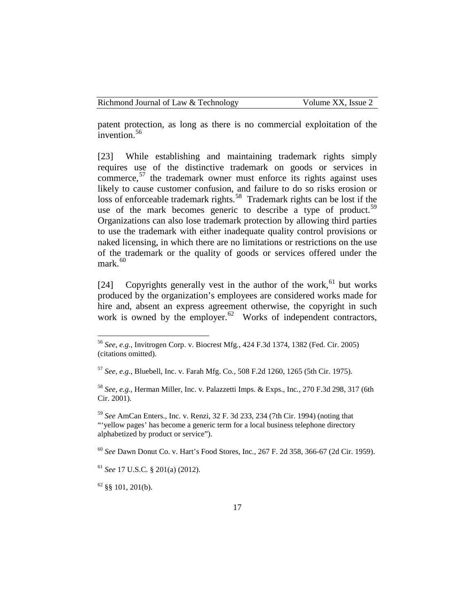| Richmond Journal of Law & Technology |  |  |
|--------------------------------------|--|--|
|--------------------------------------|--|--|

patent protection, as long as there is no commercial exploitation of the invention.<sup>[56](#page-17-0)</sup>

[23] While establishing and maintaining trademark rights simply requires use of the distinctive trademark on goods or services in commerce,  $57$  the trademark owner must enforce its rights against uses likely to cause customer confusion, and failure to do so risks erosion or loss of enforceable trademark rights.<sup>58</sup> Trademark rights can be lost if the use of the mark becomes generic to describe a type of product.<sup>[59](#page-17-3)</sup> Organizations can also lose trademark protection by allowing third parties to use the trademark with either inadequate quality control provisions or naked licensing, in which there are no limitations or restrictions on the use of the trademark or the quality of goods or services offered under the mark. $60$ 

[24] Copyrights generally vest in the author of the work,<sup>[61](#page-17-5)</sup> but works produced by the organization's employees are considered works made for hire and, absent an express agreement otherwise, the copyright in such work is owned by the employer.<sup>62</sup> Works of independent contractors,

<span id="page-17-3"></span><sup>59</sup> *See* AmCan Enters., Inc. v. Renzi, 32 F. 3d 233, 234 (7th Cir. 1994) (noting that "'yellow pages' has become a generic term for a local business telephone directory alphabetized by product or service").

<span id="page-17-4"></span><sup>60</sup> *See* Dawn Donut Co. v. Hart's Food Stores, Inc*.*, 267 F. 2d 358, 366-67 (2d Cir. 1959).

<span id="page-17-0"></span> <sup>56</sup> *See, e.g.*, Invitrogen Corp. v. Biocrest Mfg*.*, 424 F.3d 1374, 1382 (Fed. Cir. 2005) (citations omitted).

<span id="page-17-1"></span><sup>57</sup> *See, e.g.*, Bluebell, Inc. v. Farah Mfg. Co*.*, 508 F.2d 1260, 1265 (5th Cir. 1975).

<span id="page-17-2"></span><sup>58</sup> *See, e.g.*, Herman Miller, Inc. v. Palazzetti Imps. & Exps., Inc*.*, 270 F.3d 298, 317 (6th Cir. 2001).

<span id="page-17-5"></span><sup>61</sup> *See* 17 U.S.C. § 201(a) (2012).

<span id="page-17-6"></span> $62$  §§ 101, 201(b).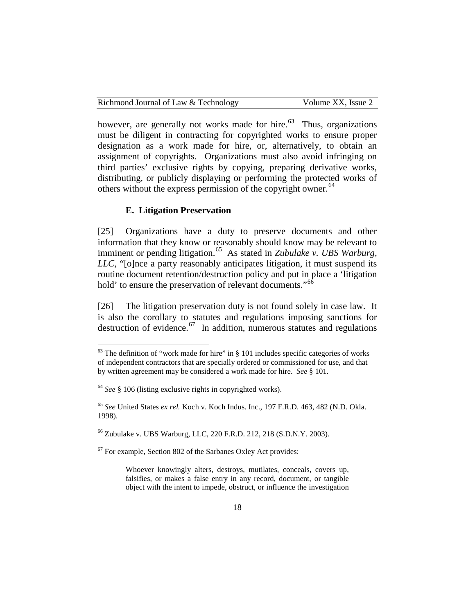| Richmond Journal of Law & Technology | Volume XX, Issue 2 |
|--------------------------------------|--------------------|
|--------------------------------------|--------------------|

however, are generally not works made for hire. $63$  Thus, organizations must be diligent in contracting for copyrighted works to ensure proper designation as a work made for hire, or, alternatively, to obtain an assignment of copyrights. Organizations must also avoid infringing on third parties' exclusive rights by copying, preparing derivative works, distributing, or publicly displaying or performing the protected works of others without the express permission of the copyright owner.<sup>[64](#page-18-1)</sup>

# **E. Litigation Preservation**

[25] Organizations have a duty to preserve documents and other information that they know or reasonably should know may be relevant to imminent or pending litigation.<sup>[65](#page-18-2)</sup> As stated in *Zubulake v. UBS Warburg*, *LLC*, "[o]nce a party reasonably anticipates litigation, it must suspend its routine document retention/destruction policy and put in place a 'litigation hold' to ensure the preservation of relevant documents."<sup>[66](#page-18-3)</sup>

[26] The litigation preservation duty is not found solely in case law. It is also the corollary to statutes and regulations imposing sanctions for destruction of evidence. $67$  In addition, numerous statutes and regulations

<span id="page-18-3"></span><sup>66</sup> Zubulake v. UBS Warburg, LLC, 220 F.R.D. 212, 218 (S.D.N.Y. 2003).

<span id="page-18-4"></span> $67$  For example, Section 802 of the Sarbanes Oxley Act provides:

Whoever knowingly alters, destroys, mutilates, conceals, covers up, falsifies, or makes a false entry in any record, document, or tangible object with the intent to impede, obstruct, or influence the investigation

<span id="page-18-0"></span> $63$  The definition of "work made for hire" in § 101 includes specific categories of works of independent contractors that are specially ordered or commissioned for use, and that by written agreement may be considered a work made for hire. *See* § 101.

<span id="page-18-1"></span><sup>64</sup> *See* § 106 (listing exclusive rights in copyrighted works).

<span id="page-18-2"></span><sup>65</sup> *See* United States *ex rel.* Koch v. Koch Indus. Inc., 197 F.R.D. 463, 482 (N.D. Okla. 1998).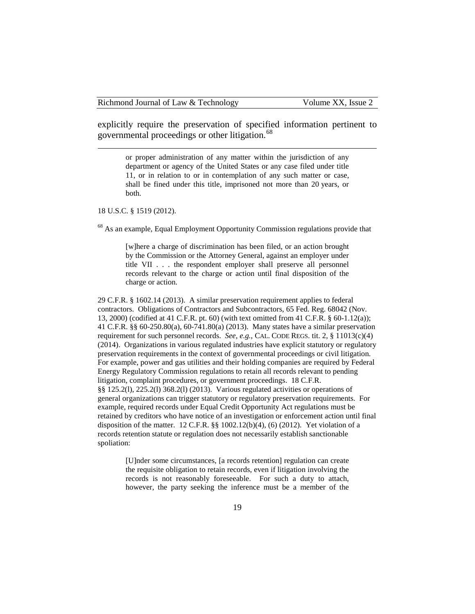explicitly require the preservation of specified information pertinent to governmental proceedings or other litigation.<sup>[68](#page-19-0)</sup>

or proper administration of any matter within the jurisdiction of any department or agency of the United States or any case filed under title 11, or in relation to or in contemplation of any such matter or case, shall be fined under this title, imprisoned not more than 20 years, or both.

18 U.S.C. § 1519 (2012).

 $\overline{a}$ 

<span id="page-19-0"></span><sup>68</sup> As an example, Equal Employment Opportunity Commission regulations provide that

[w]here a charge of discrimination has been filed, or an action brought by the Commission or the Attorney General, against an employer under title VII . . . the respondent employer shall preserve all personnel records relevant to the charge or action until final disposition of the charge or action.

29 C.F.R. § 1602.14 (2013). A similar preservation requirement applies to federal contractors. Obligations of Contractors and Subcontractors, 65 Fed. Reg. 68042 (Nov. 13, 2000) (codified at 41 C.F.R. pt. 60) (with text omitted from 41 C.F.R. § 60-1.12(a)); 41 C.F.R. §§ 60-250.80(a), 60-741.80(a) (2013). Many states have a similar preservation requirement for such personnel records. *See, e.g.*, CAL. CODE REGS. tit. 2, § 11013(c)(4) (2014). Organizations in various regulated industries have explicit statutory or regulatory preservation requirements in the context of governmental proceedings or civil litigation. For example, power and gas utilities and their holding companies are required by Federal Energy Regulatory Commission regulations to retain all records relevant to pending litigation, complaint procedures, or government proceedings. 18 C.F.R. §§ 125.2(l), 225.2(l) 368.2(l) (2013). Various regulated activities or operations of general organizations can trigger statutory or regulatory preservation requirements. For example, required records under Equal Credit Opportunity Act regulations must be retained by creditors who have notice of an investigation or enforcement action until final disposition of the matter. 12 C.F.R. §§ 1002.12(b)(4), (6) (2012). Yet violation of a records retention statute or regulation does not necessarily establish sanctionable spoliation:

> [U]nder some circumstances, [a records retention] regulation can create the requisite obligation to retain records, even if litigation involving the records is not reasonably foreseeable. For such a duty to attach, however, the party seeking the inference must be a member of the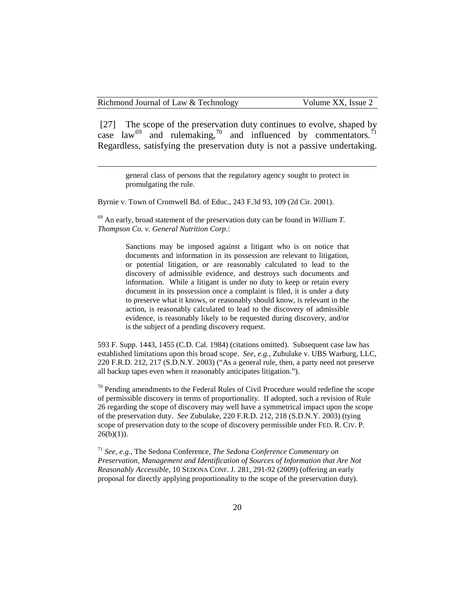[27] The scope of the preservation duty continues to evolve, shaped by case law<sup>[69](#page-20-0)</sup> and rulemaking,<sup>[70](#page-20-1)</sup> and influenced by commentators.<sup>[71](#page-20-2)</sup> Regardless, satisfying the preservation duty is not a passive undertaking.

 general class of persons that the regulatory agency sought to protect in promulgating the rule.

Byrnie v. Town of Cromwell Bd. of Educ., 243 F.3d 93, 109 (2d Cir. 2001).

<span id="page-20-0"></span><sup>69</sup> An early, broad statement of the preservation duty can be found in *William T. Thompson Co. v. General Nutrition Corp.*:

> Sanctions may be imposed against a litigant who is on notice that documents and information in its possession are relevant to litigation, or potential litigation, or are reasonably calculated to lead to the discovery of admissible evidence, and destroys such documents and information. While a litigant is under no duty to keep or retain every document in its possession once a complaint is filed, it is under a duty to preserve what it knows, or reasonably should know, is relevant in the action, is reasonably calculated to lead to the discovery of admissible evidence, is reasonably likely to be requested during discovery, and/or is the subject of a pending discovery request.

593 F. Supp. 1443, 1455 (C.D. Cal. 1984) (citations omitted). Subsequent case law has established limitations upon this broad scope. *See, e.g.*, Zubulake v. UBS Warburg, LLC, 220 F.R.D. 212, 217 (S.D.N.Y. 2003) ("As a general rule, then, a party need not preserve all backup tapes even when it reasonably anticipates litigation.").

<span id="page-20-1"></span> $70$  Pending amendments to the Federal Rules of Civil Procedure would redefine the scope of permissible discovery in terms of proportionality. If adopted, such a revision of Rule 26 regarding the scope of discovery may well have a symmetrical impact upon the scope of the preservation duty. *See* Zubulake, 220 F.R.D. 212, 218 (S.D.N.Y. 2003) (tying scope of preservation duty to the scope of discovery permissible under FED. R. CIV. P.  $26(b)(1)$ ).

<span id="page-20-2"></span><sup>71</sup> *See, e.g.*, The Sedona Conference, *The Sedona Conference Commentary on Preservation, Management and Identification of Sources of Information that Are Not Reasonably Accessible*, 10 SEDONA CONF. J. 281, 291-92 (2009) (offering an early proposal for directly applying proportionality to the scope of the preservation duty).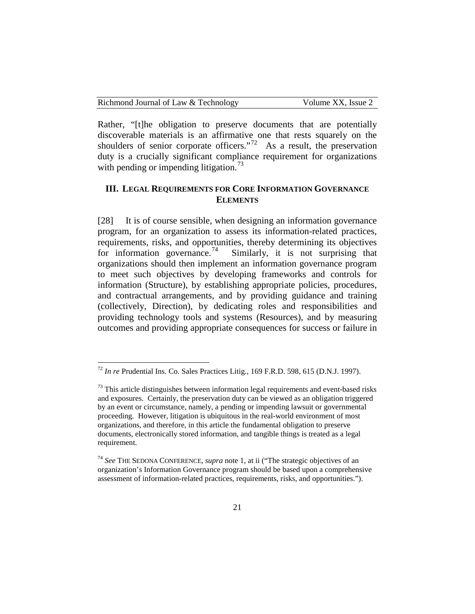| Richmond Journal of Law & Technology | Volume XX, Issue 2 |
|--------------------------------------|--------------------|
|--------------------------------------|--------------------|

Rather, "[t]he obligation to preserve documents that are potentially discoverable materials is an affirmative one that rests squarely on the shoulders of senior corporate officers."<sup>72</sup> As a result, the preservation duty is a crucially significant compliance requirement for organizations with pending or impending litigation.<sup>[73](#page-21-1)</sup>

# **III. LEGAL REQUIREMENTS FOR CORE INFORMATION GOVERNANCE ELEMENTS**

[28] It is of course sensible, when designing an information governance program, for an organization to assess its information-related practices, requirements, risks, and opportunities, thereby determining its objectives for information governance.<sup>74</sup> Similarly, it is not surprising that Similarly, it is not surprising that organizations should then implement an information governance program to meet such objectives by developing frameworks and controls for information (Structure), by establishing appropriate policies, procedures, and contractual arrangements, and by providing guidance and training (collectively, Direction), by dedicating roles and responsibilities and providing technology tools and systems (Resources), and by measuring outcomes and providing appropriate consequences for success or failure in

<span id="page-21-0"></span> <sup>72</sup> *In re* Prudential Ins. Co. Sales Practices Litig., 169 F.R.D. 598, 615 (D.N.J. 1997).

<span id="page-21-1"></span> $73$  This article distinguishes between information legal requirements and event-based risks and exposures. Certainly, the preservation duty can be viewed as an obligation triggered by an event or circumstance, namely, a pending or impending lawsuit or governmental proceeding. However, litigation is ubiquitous in the real-world environment of most organizations, and therefore, in this article the fundamental obligation to preserve documents, electronically stored information, and tangible things is treated as a legal requirement.

<span id="page-21-2"></span><sup>74</sup> *See* THE SEDONA CONFERENCE, *supra* note 1, at ii ("The strategic objectives of an organization's Information Governance program should be based upon a comprehensive assessment of information-related practices, requirements, risks, and opportunities.").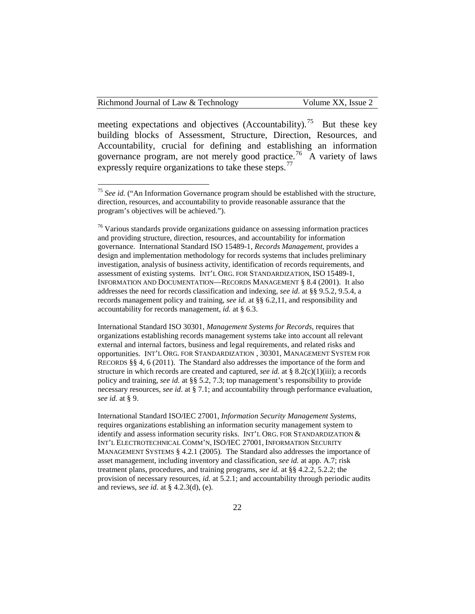meeting expectations and objectives (Accountability).<sup>[75](#page-22-0)</sup> But these key building blocks of Assessment, Structure, Direction, Resources, and Accountability, crucial for defining and establishing an information governance program, are not merely good practice.<sup>[76](#page-22-1)</sup> A variety of laws expressly require organizations to take these steps.<sup>[77](#page-22-2)</sup>

International Standard ISO 30301, *Management Systems for Records*, requires that organizations establishing records management systems take into account all relevant external and internal factors, business and legal requirements, and related risks and opportunities. INT'L ORG. FOR STANDARDIZATION , 30301, MANAGEMENT SYSTEM FOR RECORDS §§ 4, 6 (2011). The Standard also addresses the importance of the form and structure in which records are created and captured, *see id.* at § 8.2(c)(1)(iii); a records policy and training, *see id.* at §§ 5.2, 7.3; top management's responsibility to provide necessary resources, *see id*. at § 7.1; and accountability through performance evaluation, *see id.* at § 9.

<span id="page-22-2"></span>International Standard ISO/IEC 27001, *Information Security Management Systems*, requires organizations establishing an information security management system to identify and assess information security risks. INT'L ORG. FOR STANDARDIZATION & INT'L ELECTROTECHNICAL COMM'N, ISO/IEC 27001, INFORMATION SECURITY MANAGEMENT SYSTEMS § 4.2.1 (2005). The Standard also addresses the importance of asset management, including inventory and classification, *see id.* at app. A.7; risk treatment plans, procedures, and training programs, *see id.* at §§ 4.2.2, 5.2.2; the provision of necessary resources, *id.* at 5.2.1; and accountability through periodic audits and reviews, *see id.* at § 4.2.3(d), (e).

<span id="page-22-0"></span><sup>&</sup>lt;sup>75</sup> See id. ("An Information Governance program should be established with the structure, direction, resources, and accountability to provide reasonable assurance that the program's objectives will be achieved.").

<span id="page-22-1"></span> $76$  Various standards provide organizations guidance on assessing information practices and providing structure, direction, resources, and accountability for information governance. International Standard ISO 15489-1, *Records Management*, provides a design and implementation methodology for records systems that includes preliminary investigation, analysis of business activity, identification of records requirements, and assessment of existing systems. INT'L ORG. FOR STANDARDIZATION, ISO 15489-1, INFORMATION AND DOCUMENTATION—RECORDS MANAGEMENT § 8.4 (2001). It also addresses the need for records classification and indexing, *see id*. at §§ 9.5.2, 9.5.4, a records management policy and training, *see id.* at §§ 6.2,11, and responsibility and accountability for records management, *id.* at § 6.3.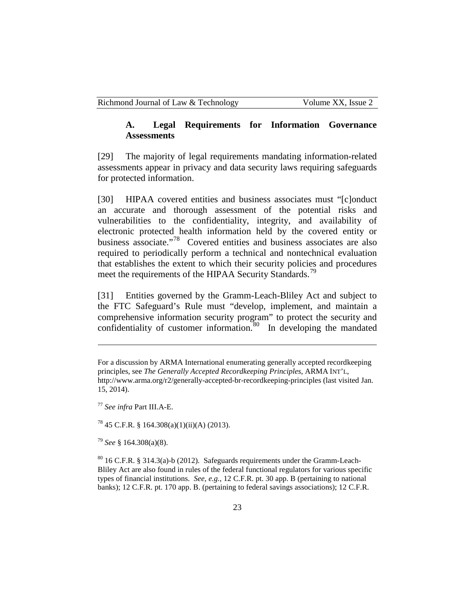#### **A. Legal Requirements for Information Governance Assessments**

[29] The majority of legal requirements mandating information-related assessments appear in privacy and data security laws requiring safeguards for protected information.

[30] HIPAA covered entities and business associates must "[c]onduct an accurate and thorough assessment of the potential risks and vulnerabilities to the confidentiality, integrity, and availability of electronic protected health information held by the covered entity or business associate."[78](#page-23-0) Covered entities and business associates are also required to periodically perform a technical and nontechnical evaluation that establishes the extent to which their security policies and procedures meet the requirements of the HIPAA Security Standards.<sup>[79](#page-23-1)</sup>

[31] Entities governed by the Gramm-Leach-Bliley Act and subject to the FTC Safeguard's Rule must "develop, implement, and maintain a comprehensive information security program" to protect the security and confidentiality of customer information. $80$  In developing the mandated

<sup>77</sup> *See infra* Part III.A-E.

 $\overline{a}$ 

<span id="page-23-0"></span> $^{78}$  45 C.F.R. § 164.308(a)(1)(ii)(A) (2013).

<span id="page-23-1"></span><sup>79</sup> *See* § 164.308(a)(8).

<span id="page-23-2"></span> $80$  16 C.F.R. § 314.3(a)-b (2012). Safeguards requirements under the Gramm-Leach-Bliley Act are also found in rules of the federal functional regulators for various specific types of financial institutions. *See, e.g.*, 12 C.F.R. pt. 30 app. B (pertaining to national banks); 12 C.F.R. pt. 170 app. B. (pertaining to federal savings associations); 12 C.F.R.

For a discussion by ARMA International enumerating generally accepted recordkeeping principles, see *The Generally Accepted Recordkeeping Principles*, ARMA INT'L, http://www.arma.org/r2/generally-accepted-br-recordkeeping-principles (last visited Jan. 15, 2014).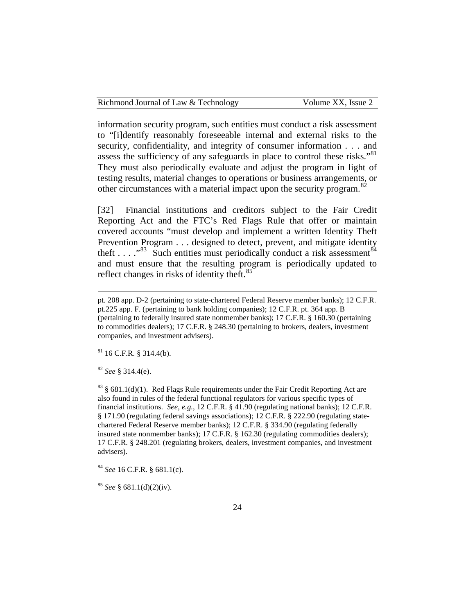| Richmond Journal of Law & Technology | Volume XX, Issue 2 |
|--------------------------------------|--------------------|
|--------------------------------------|--------------------|

information security program, such entities must conduct a risk assessment to "[i]dentify reasonably foreseeable internal and external risks to the security, confidentiality, and integrity of consumer information . . . and assess the sufficiency of any safeguards in place to control these risks."<sup>[81](#page-24-0)</sup> They must also periodically evaluate and adjust the program in light of testing results, material changes to operations or business arrangements, or other circumstances with a material impact upon the security program.  $82$ 

[32] Financial institutions and creditors subject to the Fair Credit Reporting Act and the FTC's Red Flags Rule that offer or maintain covered accounts "must develop and implement a written Identity Theft Prevention Program . . . designed to detect, prevent, and mitigate identity theft . . . ."[83](#page-24-2) Such entities must periodically conduct a risk assessment[84](#page-24-3) and must ensure that the resulting program is periodically updated to reflect changes in risks of identity theft.<sup>[85](#page-24-4)</sup>

<span id="page-24-0"></span> $81$  16 C.F.R. § 314.4(b).

<span id="page-24-1"></span><sup>82</sup> *See* § 314.4(e).

 $\overline{a}$ 

<span id="page-24-2"></span> $83$  § 681.1(d)(1). Red Flags Rule requirements under the Fair Credit Reporting Act are also found in rules of the federal functional regulators for various specific types of financial institutions. *See, e.g.*, 12 C.F.R. § 41.90 (regulating national banks); 12 C.F.R. § 171.90 (regulating federal savings associations); 12 C.F.R. § 222.90 (regulating statechartered Federal Reserve member banks); 12 C.F.R. § 334.90 (regulating federally insured state nonmember banks); 17 C.F.R. § 162.30 (regulating commodities dealers); 17 C.F.R. § 248.201 (regulating brokers, dealers, investment companies, and investment advisers).

<span id="page-24-3"></span><sup>84</sup> *See* 16 C.F.R. § 681.1(c).

pt. 208 app. D-2 (pertaining to state-chartered Federal Reserve member banks); 12 C.F.R. pt.225 app. F. (pertaining to bank holding companies); 12 C.F.R. pt. 364 app. B (pertaining to federally insured state nonmember banks); 17 C.F.R. § 160.30 (pertaining to commodities dealers); 17 C.F.R. § 248.30 (pertaining to brokers, dealers, investment companies, and investment advisers).

<span id="page-24-4"></span><sup>85</sup> *See* § 681.1(d)(2)(iv).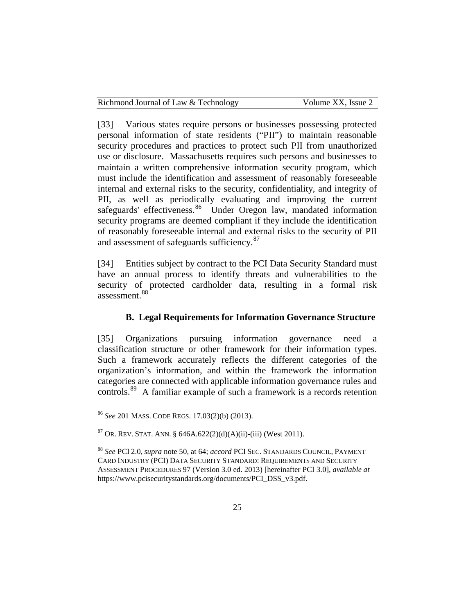| Richmond Journal of Law & Technology | Volume XX, Issue 2 |
|--------------------------------------|--------------------|
|--------------------------------------|--------------------|

[33] Various states require persons or businesses possessing protected personal information of state residents ("PII") to maintain reasonable security procedures and practices to protect such PII from unauthorized use or disclosure. Massachusetts requires such persons and businesses to maintain a written comprehensive information security program, which must include the identification and assessment of reasonably foreseeable internal and external risks to the security, confidentiality, and integrity of PII, as well as periodically evaluating and improving the current safeguards' effectiveness.<sup>86</sup> Under Oregon law, mandated information security programs are deemed compliant if they include the identification of reasonably foreseeable internal and external risks to the security of PII and assessment of safeguards sufficiency.<sup>[87](#page-25-1)</sup>

[34] Entities subject by contract to the PCI Data Security Standard must have an annual process to identify threats and vulnerabilities to the security of protected cardholder data, resulting in a formal risk assessment.<sup>[88](#page-25-2)</sup>

# **B. Legal Requirements for Information Governance Structure**

<span id="page-25-3"></span>[35] Organizations pursuing information governance need a classification structure or other framework for their information types. Such a framework accurately reflects the different categories of the organization's information, and within the framework the information categories are connected with applicable information governance rules and controls.<sup>[89](#page-25-3)</sup> A familiar example of such a framework is a records retention

<span id="page-25-0"></span> <sup>86</sup> *See* 201 MASS. CODE REGS. 17.03(2)(b) (2013).

<span id="page-25-1"></span> $87$  OR. REV. STAT. ANN. § 646A.622(2)(d)(A)(ii)-(iii) (West 2011).

<span id="page-25-2"></span><sup>88</sup> *See* PCI 2.0, *supra* note 50, at 64; *accord* PCI SEC. STANDARDS COUNCIL, PAYMENT CARD INDUSTRY (PCI) DATA SECURITY STANDARD: REQUIREMENTS AND SECURITY ASSESSMENT PROCEDURES 97 (Version 3.0 ed. 2013) [hereinafter PCI 3.0], *available at* https://www.pcisecuritystandards.org/documents/PCI\_DSS\_v3.pdf.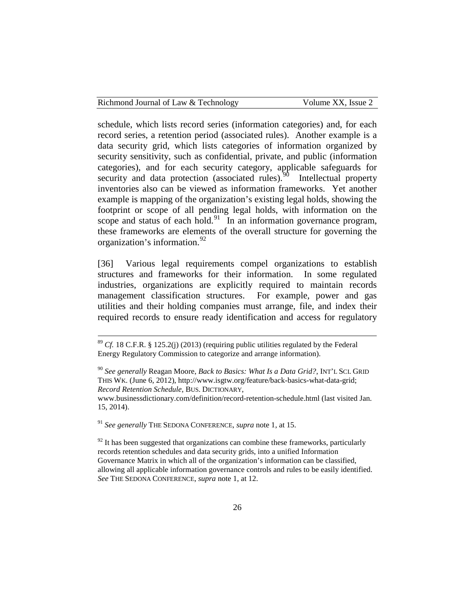| Richmond Journal of Law & Technology | Volume XX, Issue 2 |
|--------------------------------------|--------------------|
|--------------------------------------|--------------------|

schedule, which lists record series (information categories) and, for each record series, a retention period (associated rules). Another example is a data security grid, which lists categories of information organized by security sensitivity, such as confidential, private, and public (information categories), and for each security category, applicable safeguards for security and data protection (associated rules). Intellectual property inventories also can be viewed as information frameworks. Yet another example is mapping of the organization's existing legal holds, showing the footprint or scope of all pending legal holds, with information on the scope and status of each hold.<sup>[91](#page-26-1)</sup> In an information governance program, these frameworks are elements of the overall structure for governing the organization's information.<sup>[92](#page-26-2)</sup>

[36] Various legal requirements compel organizations to establish structures and frameworks for their information. In some regulated industries, organizations are explicitly required to maintain records management classification structures. For example, power and gas utilities and their holding companies must arrange, file, and index their required records to ensure ready identification and access for regulatory

<span id="page-26-1"></span><sup>91</sup> *See generally* THE SEDONA CONFERENCE, *supra* note 1, at 15.

<span id="page-26-2"></span> $92$  It has been suggested that organizations can combine these frameworks, particularly records retention schedules and data security grids, into a unified Information Governance Matrix in which all of the organization's information can be classified, allowing all applicable information governance controls and rules to be easily identified. *See* THE SEDONA CONFERENCE, *supra* note 1, at 12.

 $89$  *Cf.* 18 C.F.R. § 125.2(j) (2013) (requiring public utilities regulated by the Federal Energy Regulatory Commission to categorize and arrange information).

<span id="page-26-0"></span><sup>90</sup> *See generally* Reagan Moore, *Back to Basics: What Is a Data Grid?*, INT'L SCI. GRID THIS WK. (June 6, 2012), http://www.isgtw.org/feature/back-basics-what-data-grid; *Record Retention Schedule*, BUS. DICTIONARY,

www.businessdictionary.com/definition/record-retention-schedule.html (last visited Jan. 15, 2014).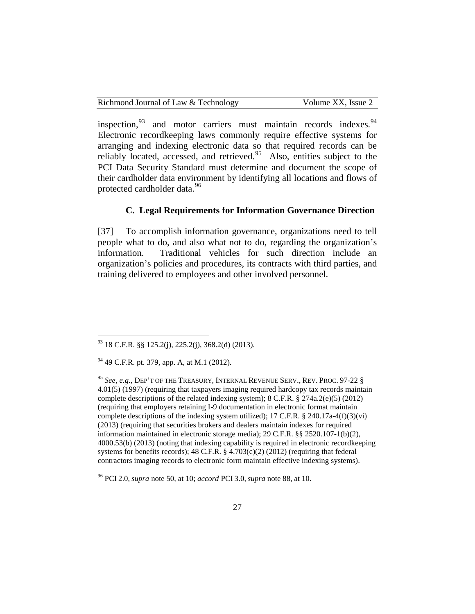| Richmond Journal of Law & Technology | Volume XX, Issue 2 |
|--------------------------------------|--------------------|
|--------------------------------------|--------------------|

inspection, $93$  and motor carriers must maintain records indexes.  $94$ Electronic recordkeeping laws commonly require effective systems for arranging and indexing electronic data so that required records can be reliably located, accessed, and retrieved. $95$  Also, entities subject to the PCI Data Security Standard must determine and document the scope of their cardholder data environment by identifying all locations and flows of protected cardholder data.<sup>96</sup>

# **C. Legal Requirements for Information Governance Direction**

[37] To accomplish information governance, organizations need to tell people what to do, and also what not to do, regarding the organization's information. Traditional vehicles for such direction include an organization's policies and procedures, its contracts with third parties, and training delivered to employees and other involved personnel.

<span id="page-27-0"></span> $93$  18 C.F.R.  $88$  125.2(j), 225.2(j), 368.2(d) (2013).

<span id="page-27-1"></span><sup>94</sup> 49 C.F.R. pt. 379, app. A, at M.1 (2012).

<span id="page-27-2"></span><sup>95</sup> *See, e.g.*, DEP'T OF THE TREASURY, INTERNAL REVENUE SERV., REV. PROC. 97-22 § 4.01(5) (1997) (requiring that taxpayers imaging required hardcopy tax records maintain complete descriptions of the related indexing system); 8 C.F.R. § 274a.2(e)(5) (2012) (requiring that employers retaining I-9 documentation in electronic format maintain complete descriptions of the indexing system utilized); 17 C.F.R.  $\S$  240.17a-4(f)(3)(vi) (2013) (requiring that securities brokers and dealers maintain indexes for required information maintained in electronic storage media); 29 C.F.R. §§ 2520.107-1(b)(2), 4000.53(b) (2013) (noting that indexing capability is required in electronic recordkeeping systems for benefits records);  $48$  C.F.R. §  $4.703(c)(2)(2012)$  (requiring that federal contractors imaging records to electronic form maintain effective indexing systems).

<span id="page-27-3"></span><sup>96</sup> PCI 2.0, *supra* note 50, at 10; *accord* PCI 3.0, *supra* note 88, at 10.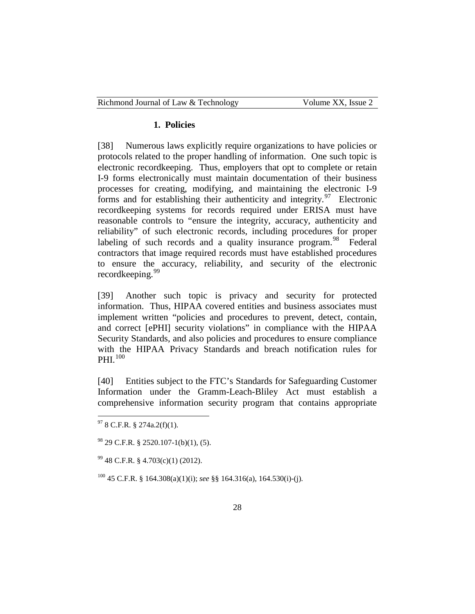| Richmond Journal of Law & Technology | Volume XX, Issue 2 |
|--------------------------------------|--------------------|
|--------------------------------------|--------------------|

#### **1. Policies**

[38] Numerous laws explicitly require organizations to have policies or protocols related to the proper handling of information. One such topic is electronic recordkeeping. Thus, employers that opt to complete or retain I-9 forms electronically must maintain documentation of their business processes for creating, modifying, and maintaining the electronic I-9 forms and for establishing their authenticity and integrity.<sup>97</sup> Electronic recordkeeping systems for records required under ERISA must have reasonable controls to "ensure the integrity, accuracy, authenticity and reliability" of such electronic records, including procedures for proper labeling of such records and a quality insurance program.<sup>[98](#page-28-1)</sup> Federal contractors that image required records must have established procedures to ensure the accuracy, reliability, and security of the electronic recordkeeping.<sup>[99](#page-28-2)</sup>

[39] Another such topic is privacy and security for protected information. Thus, HIPAA covered entities and business associates must implement written "policies and procedures to prevent, detect, contain, and correct [ePHI] security violations" in compliance with the HIPAA Security Standards, and also policies and procedures to ensure compliance with the HIPAA Privacy Standards and breach notification rules for PHI.<sup>[100](#page-28-3)</sup>

[40] Entities subject to the FTC's Standards for Safeguarding Customer Information under the Gramm-Leach-Bliley Act must establish a comprehensive information security program that contains appropriate

<span id="page-28-0"></span> $97$  8 C.F.R. § 274a.2(f)(1).

<span id="page-28-1"></span> $^{98}$  29 C.F.R. § 2520.107-1(b)(1), (5).

<span id="page-28-2"></span> $99$  48 C.F.R. § 4.703(c)(1) (2012).

<span id="page-28-3"></span><sup>100</sup> 45 C.F.R. § 164.308(a)(1)(i); *see* §§ 164.316(a), 164.530(i)-(j).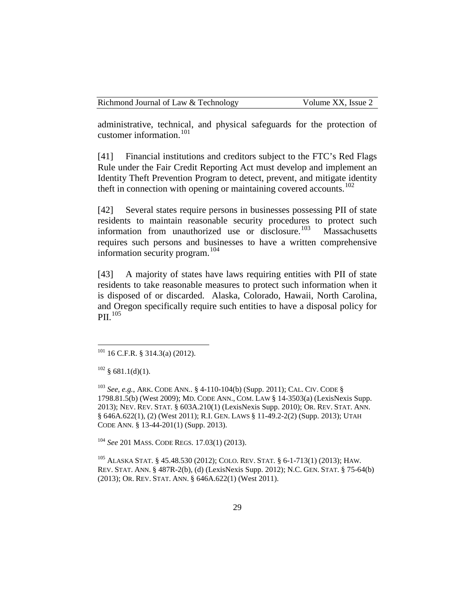administrative, technical, and physical safeguards for the protection of customer information. $101$ 

[41] Financial institutions and creditors subject to the FTC's Red Flags Rule under the Fair Credit Reporting Act must develop and implement an Identity Theft Prevention Program to detect, prevent, and mitigate identity theft in connection with opening or maintaining covered accounts.<sup>[102](#page-29-1)</sup>

[42] Several states require persons in businesses possessing PII of state residents to maintain reasonable security procedures to protect such information from unauthorized use or disclosure.<sup>[103](#page-29-2)</sup> Massachusetts requires such persons and businesses to have a written comprehensive information security program.<sup>[104](#page-29-3)</sup>

[43] A majority of states have laws requiring entities with PII of state residents to take reasonable measures to protect such information when it is disposed of or discarded. Alaska, Colorado, Hawaii, North Carolina, and Oregon specifically require such entities to have a disposal policy for  $PII.$ <sup>[105](#page-29-4)</sup>

<span id="page-29-3"></span><sup>104</sup> *See* 201 MASS. CODE REGS. 17.03(1) (2013).

<span id="page-29-4"></span><sup>105</sup> ALASKA STAT. § 45.48.530 (2012); COLO. REV. STAT. § 6-1-713(1) (2013); HAW. REV. STAT. ANN. § 487R-2(b), (d) (LexisNexis Supp. 2012); N.C. GEN. STAT. § 75-64(b) (2013); OR. REV. STAT. ANN. § 646A.622(1) (West 2011).

<span id="page-29-0"></span> $101$  16 C.F.R. § 314.3(a) (2012).

<span id="page-29-1"></span> $102 \text{ § } 681.1(d)(1)$ .

<span id="page-29-2"></span><sup>103</sup> *See, e.g.*, ARK. CODE ANN*.*. § 4-110-104(b) (Supp. 2011); CAL. CIV. CODE § 1798.81.5(b) (West 2009); MD. CODE ANN., COM. LAW § 14-3503(a) (LexisNexis Supp. 2013); NEV. REV. STAT. § 603A.210(1) (LexisNexis Supp. 2010); OR. REV. STAT. ANN. § 646A.622(1), (2) (West 2011); R.I. GEN. LAWS § 11-49.2-2(2) (Supp. 2013); UTAH CODE ANN. § 13-44-201(1) (Supp. 2013).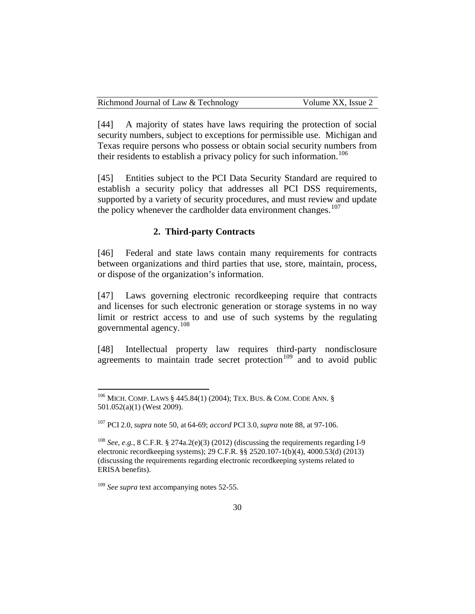| Richmond Journal of Law & Technology | Volume XX, Issue 2 |
|--------------------------------------|--------------------|
|--------------------------------------|--------------------|

[44] A majority of states have laws requiring the protection of social security numbers, subject to exceptions for permissible use. Michigan and Texas require persons who possess or obtain social security numbers from their residents to establish a privacy policy for such information.<sup>[106](#page-30-0)</sup>

[45] Entities subject to the PCI Data Security Standard are required to establish a security policy that addresses all PCI DSS requirements, supported by a variety of security procedures, and must review and update the policy whenever the cardholder data environment changes.<sup>[107](#page-30-1)</sup>

#### **2. Third-party Contracts**

[46] Federal and state laws contain many requirements for contracts between organizations and third parties that use, store, maintain, process, or dispose of the organization's information.

[47] Laws governing electronic recordkeeping require that contracts and licenses for such electronic generation or storage systems in no way limit or restrict access to and use of such systems by the regulating governmental agency.<sup>[108](#page-30-2)</sup>

[48] Intellectual property law requires third-party nondisclosure agreements to maintain trade secret protection<sup>[109](#page-30-3)</sup> and to avoid public

<span id="page-30-0"></span> <sup>106</sup> MICH. COMP. LAWS § 445.84(1) (2004); TEX. BUS. & COM. CODE ANN. § 501.052(a)(1) (West 2009).

<span id="page-30-1"></span><sup>107</sup> PCI 2.0, *supra* note 50, at 64-69; *accord* PCI 3.0, *supra* note 88, at 97-106.

<span id="page-30-2"></span><sup>108</sup> *See, e.g.*, 8 C.F.R. § 274a.2(e)(3) (2012) (discussing the requirements regarding I-9 electronic recordkeeping systems); 29 C.F.R. §§ 2520.107-1(b)(4), 4000.53(d) (2013) (discussing the requirements regarding electronic recordkeeping systems related to ERISA benefits).

<span id="page-30-3"></span><sup>&</sup>lt;sup>109</sup> See supra text accompanying notes 52-55.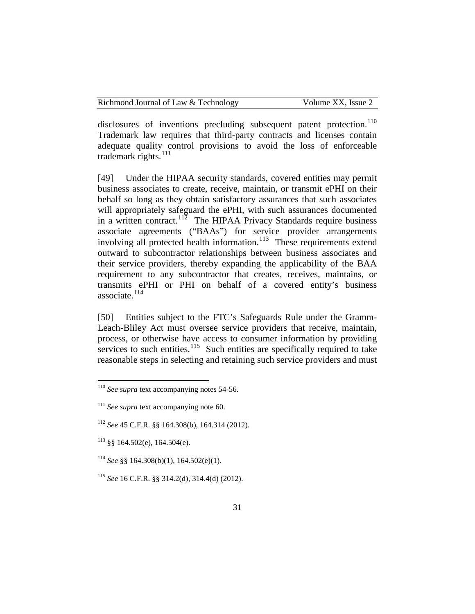disclosures of inventions precluding subsequent patent protection.<sup>[110](#page-31-0)</sup> Trademark law requires that third-party contracts and licenses contain adequate quality control provisions to avoid the loss of enforceable trademark rights. $^{111}$  $^{111}$  $^{111}$ 

[49] Under the HIPAA security standards, covered entities may permit business associates to create, receive, maintain, or transmit ePHI on their behalf so long as they obtain satisfactory assurances that such associates will appropriately safeguard the ePHI, with such assurances documented in a written contract.<sup>[112](#page-31-2)</sup> The HIPAA Privacy Standards require business associate agreements ("BAAs") for service provider arrangements involving all protected health information.<sup>[113](#page-31-3)</sup> These requirements extend outward to subcontractor relationships between business associates and their service providers, thereby expanding the applicability of the BAA requirement to any subcontractor that creates, receives, maintains, or transmits ePHI or PHI on behalf of a covered entity's business associate. $114$ 

[50] Entities subject to the FTC's Safeguards Rule under the Gramm-Leach-Bliley Act must oversee service providers that receive, maintain, process, or otherwise have access to consumer information by providing services to such entities.<sup>115</sup> Such entities are specifically required to take reasonable steps in selecting and retaining such service providers and must

<span id="page-31-0"></span> <sup>110</sup> *See supra* text accompanying notes 54-56.

<span id="page-31-1"></span><sup>111</sup> *See supra* text accompanying note 60.

<span id="page-31-2"></span><sup>112</sup> *See* 45 C.F.R. §§ 164.308(b), 164.314 (2012).

<span id="page-31-3"></span> $113$  §§ 164.502(e), 164.504(e).

<span id="page-31-4"></span><sup>114</sup> *See* §§ 164.308(b)(1), 164.502(e)(1).

<span id="page-31-5"></span><sup>115</sup> *See* 16 C.F.R. §§ 314.2(d), 314.4(d) (2012).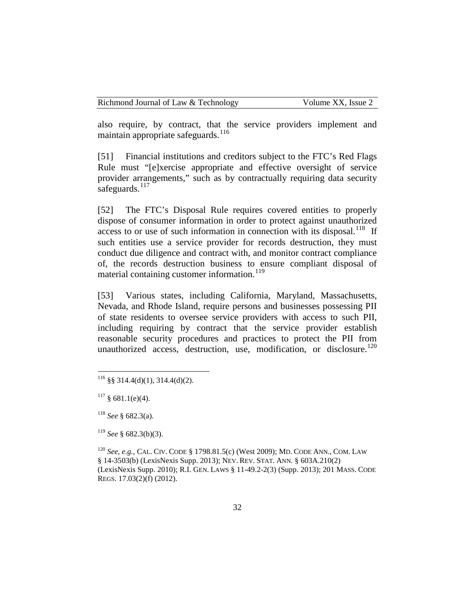also require, by contract, that the service providers implement and maintain appropriate safeguards.  $^{116}$  $^{116}$  $^{116}$ 

[51] Financial institutions and creditors subject to the FTC's Red Flags Rule must "[e]xercise appropriate and effective oversight of service provider arrangements," such as by contractually requiring data security safeguards.<sup>[117](#page-32-1)</sup>

[52] The FTC's Disposal Rule requires covered entities to properly dispose of consumer information in order to protect against unauthorized access to or use of such information in connection with its disposal.<sup>118</sup> If such entities use a service provider for records destruction, they must conduct due diligence and contract with, and monitor contract compliance of, the records destruction business to ensure compliant disposal of material containing customer information.<sup>[119](#page-32-3)</sup>

[53] Various states, including California, Maryland, Massachusetts, Nevada, and Rhode Island, require persons and businesses possessing PII of state residents to oversee service providers with access to such PII, including requiring by contract that the service provider establish reasonable security procedures and practices to protect the PII from unauthorized access, destruction, use, modification, or disclosure. $120$ 

<span id="page-32-0"></span> $116$  §§ 314.4(d)(1), 314.4(d)(2).

<span id="page-32-1"></span> $117 \text{ § } 681.1$ (e)(4).

<span id="page-32-2"></span><sup>118</sup> *See* § 682.3(a).

<span id="page-32-3"></span><sup>119</sup> *See* § 682.3(b)(3).

<span id="page-32-4"></span><sup>120</sup> *See, e.g.*, CAL. CIV. CODE § 1798.81.5(c) (West 2009); MD. CODE ANN., COM. LAW § 14-3503(b) (LexisNexis Supp. 2013); NEV. REV. STAT. ANN. § 603A.210(2) (LexisNexis Supp. 2010); R.I. GEN. LAWS § 11-49.2-2(3) (Supp. 2013); 201 MASS. CODE REGS. 17.03(2)(f) (2012).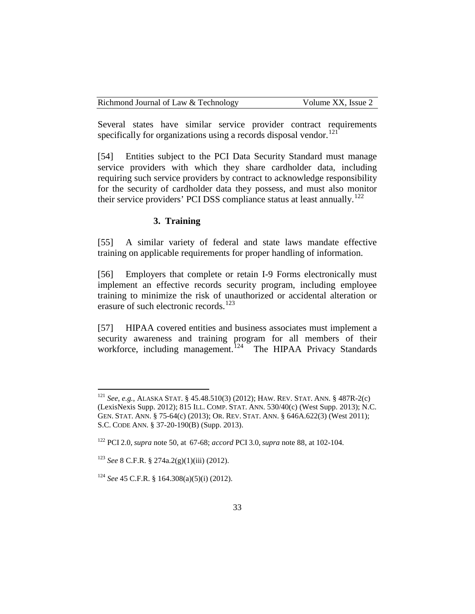| Richmond Journal of Law & Technology | Volume XX, Issue 2 |
|--------------------------------------|--------------------|
|--------------------------------------|--------------------|

Several states have similar service provider contract requirements specifically for organizations using a records disposal vendor.<sup>[121](#page-33-0)</sup>

[54] Entities subject to the PCI Data Security Standard must manage service providers with which they share cardholder data, including requiring such service providers by contract to acknowledge responsibility for the security of cardholder data they possess, and must also monitor their service providers' PCI DSS compliance status at least annually.<sup>[122](#page-33-1)</sup>

#### **3. Training**

[55] A similar variety of federal and state laws mandate effective training on applicable requirements for proper handling of information.

[56] Employers that complete or retain I-9 Forms electronically must implement an effective records security program, including employee training to minimize the risk of unauthorized or accidental alteration or erasure of such electronic records.<sup>[123](#page-33-2)</sup>

[57] HIPAA covered entities and business associates must implement a security awareness and training program for all members of their workforce, including management.<sup>124</sup> The HIPAA Privacy Standards

<span id="page-33-0"></span> <sup>121</sup> *See, e.g.*, ALASKA STAT. § 45.48.510(3) (2012); HAW. REV. STAT. ANN. § 487R-2(c) (LexisNexis Supp. 2012); 815 ILL. COMP. STAT. ANN. 530/40(c) (West Supp. 2013); N.C. GEN. STAT. ANN. § 75-64(c) (2013); OR. REV. STAT. ANN. § 646A.622(3) (West 2011); S.C. CODE ANN. § 37-20-190(B) (Supp. 2013).

<span id="page-33-1"></span><sup>122</sup> PCI 2.0, *supra* note 50, at 67-68; *accord* PCI 3.0, *supra* note 88, at 102-104.

<span id="page-33-2"></span><sup>123</sup> *See* 8 C.F.R. § 274a.2(g)(1)(iii) (2012).

<span id="page-33-3"></span><sup>124</sup> *See* 45 C.F.R. § 164.308(a)(5)(i) (2012).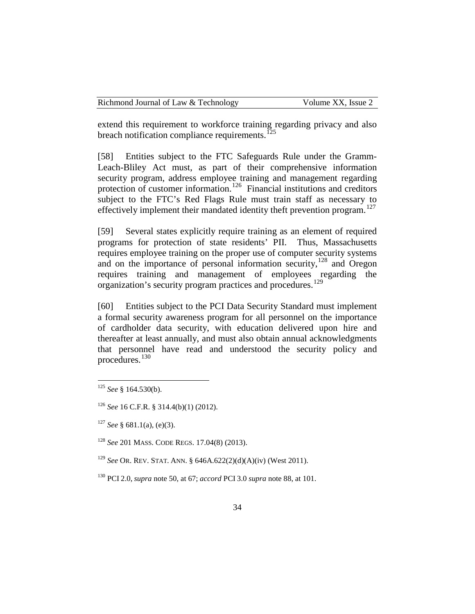| Richmond Journal of Law & Technology | Volume XX, Issue 2 |
|--------------------------------------|--------------------|
|--------------------------------------|--------------------|

extend this requirement to workforce training regarding privacy and also breach notification compliance requirements.<sup> $125$ </sup>

[58] Entities subject to the FTC Safeguards Rule under the Gramm-Leach-Bliley Act must, as part of their comprehensive information security program, address employee training and management regarding protection of customer information.<sup>[126](#page-34-1)</sup> Financial institutions and creditors subject to the FTC's Red Flags Rule must train staff as necessary to effectively implement their mandated identity theft prevention program.<sup>[127](#page-34-2)</sup>

[59] Several states explicitly require training as an element of required programs for protection of state residents' PII. Thus, Massachusetts requires employee training on the proper use of computer security systems and on the importance of personal information security,<sup>[128](#page-34-3)</sup> and Oregon requires training and management of employees regarding the organization's security program practices and procedures.[129](#page-34-4)

[60] Entities subject to the PCI Data Security Standard must implement a formal security awareness program for all personnel on the importance of cardholder data security, with education delivered upon hire and thereafter at least annually, and must also obtain annual acknowledgments that personnel have read and understood the security policy and procedures.[130](#page-34-5)

<span id="page-34-0"></span> <sup>125</sup> *See* § 164.530(b).

<span id="page-34-1"></span><sup>126</sup> *See* 16 C.F.R. § 314.4(b)(1) (2012).

<span id="page-34-2"></span><sup>127</sup> *See* § 681.1(a), (e)(3).

<span id="page-34-3"></span><sup>128</sup> *See* 201 MASS. CODE REGS. 17.04(8) (2013).

<span id="page-34-4"></span><sup>129</sup> *See* OR. REV. STAT. ANN. § 646A.622(2)(d)(A)(iv) (West 2011).

<span id="page-34-5"></span><sup>130</sup> PCI 2.0, *supra* note 50, at 67; *accord* PCI 3.0 *supra* note 88, at 101.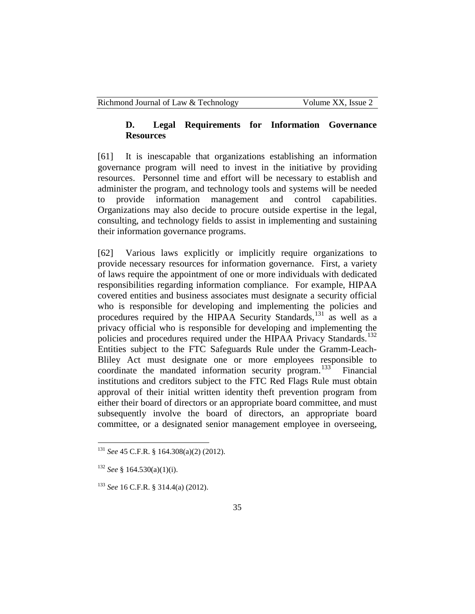# **D. Legal Requirements for Information Governance Resources**

[61] It is inescapable that organizations establishing an information governance program will need to invest in the initiative by providing resources. Personnel time and effort will be necessary to establish and administer the program, and technology tools and systems will be needed to provide information management and control capabilities. Organizations may also decide to procure outside expertise in the legal, consulting, and technology fields to assist in implementing and sustaining their information governance programs.

[62] Various laws explicitly or implicitly require organizations to provide necessary resources for information governance. First, a variety of laws require the appointment of one or more individuals with dedicated responsibilities regarding information compliance. For example, HIPAA covered entities and business associates must designate a security official who is responsible for developing and implementing the policies and procedures required by the HIPAA Security Standards,<sup>[131](#page-35-0)</sup> as well as a privacy official who is responsible for developing and implementing the policies and procedures required under the HIPAA Privacy Standards.<sup>[132](#page-35-1)</sup> Entities subject to the FTC Safeguards Rule under the Gramm-Leach-Bliley Act must designate one or more employees responsible to coordinate the mandated information security program.<sup>133</sup> Financial institutions and creditors subject to the FTC Red Flags Rule must obtain approval of their initial written identity theft prevention program from either their board of directors or an appropriate board committee, and must subsequently involve the board of directors, an appropriate board committee, or a designated senior management employee in overseeing,

<span id="page-35-0"></span> <sup>131</sup> *See* 45 C.F.R. § 164.308(a)(2) (2012).

<span id="page-35-1"></span><sup>132</sup> *See* § 164.530(a)(1)(i).

<span id="page-35-2"></span><sup>133</sup> *See* 16 C.F.R. § 314.4(a) (2012).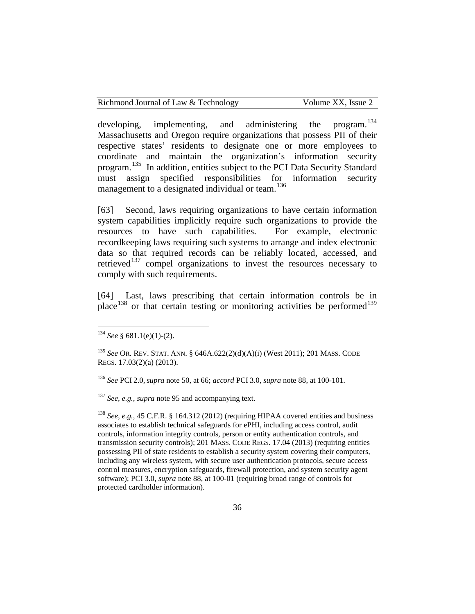developing, implementing, and administering the program.<sup>[134](#page-36-0)</sup> Massachusetts and Oregon require organizations that possess PII of their respective states' residents to designate one or more employees to coordinate and maintain the organization's information security program.<sup>[135](#page-36-1)</sup> In addition, entities subject to the PCI Data Security Standard must assign specified responsibilities for information security management to a designated individual or team.<sup>[136](#page-36-2)</sup>

[63] Second, laws requiring organizations to have certain information system capabilities implicitly require such organizations to provide the resources to have such capabilities. For example, electronic recordkeeping laws requiring such systems to arrange and index electronic data so that required records can be reliably located, accessed, and retrieved<sup>[137](#page-36-3)</sup> compel organizations to invest the resources necessary to comply with such requirements.

[64] Last, laws prescribing that certain information controls be in place<sup>[138](#page-36-4)</sup> or that certain testing or monitoring activities be performed<sup>[139](#page-36-5)</sup>

<span id="page-36-3"></span><sup>137</sup> *See, e.g.*, *supra* note 95 and accompanying text.

<span id="page-36-4"></span><sup>138</sup> *See, e.g.*, 45 C.F.R. § 164.312 (2012) (requiring HIPAA covered entities and business associates to establish technical safeguards for ePHI, including access control, audit controls, information integrity controls, person or entity authentication controls, and transmission security controls); 201 MASS. CODE REGS. 17.04 (2013) (requiring entities possessing PII of state residents to establish a security system covering their computers, including any wireless system, with secure user authentication protocols, secure access control measures, encryption safeguards, firewall protection, and system security agent software); PCI 3.0, *supra* note 88, at 100-01 (requiring broad range of controls for protected cardholder information).

<span id="page-36-0"></span> $134$  *See* § 681.1(e)(1)-(2).

<span id="page-36-5"></span><span id="page-36-1"></span><sup>135</sup> *See* OR. REV. STAT. ANN. § 646A.622(2)(d)(A)(i) (West 2011); 201 MASS. CODE REGS. 17.03(2)(a) (2013).

<span id="page-36-2"></span><sup>136</sup> *See* PCI 2.0, *supra* note 50, at 66; *accord* PCI 3.0, *supra* note 88, at 100-101.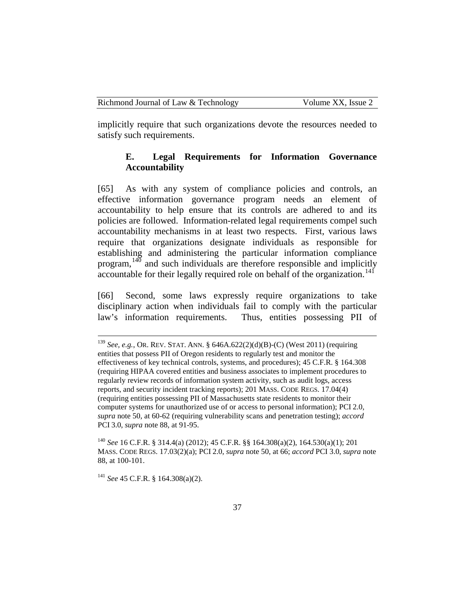implicitly require that such organizations devote the resources needed to satisfy such requirements.

# **E. Legal Requirements for Information Governance Accountability**

[65] As with any system of compliance policies and controls, an effective information governance program needs an element of accountability to help ensure that its controls are adhered to and its policies are followed. Information-related legal requirements compel such accountability mechanisms in at least two respects. First, various laws require that organizations designate individuals as responsible for establishing and administering the particular information compliance program, $140$  and such individuals are therefore responsible and implicitly accountable for their legally required role on behalf of the organization.<sup>[141](#page-37-1)</sup>

[66] Second, some laws expressly require organizations to take disciplinary action when individuals fail to comply with the particular law's information requirements. Thus, entities possessing PII of

<span id="page-37-0"></span><sup>140</sup> *See* 16 C.F.R. § 314.4(a) (2012); 45 C.F.R. §§ 164.308(a)(2), 164.530(a)(1); 201 MASS. CODE REGS. 17.03(2)(a); PCI 2.0, *supra* note 50, at 66; *accord* PCI 3.0, *supra* note 88, at 100-101.

<span id="page-37-1"></span><sup>141</sup> *See* 45 C.F.R. § 164.308(a)(2).

 <sup>139</sup> *See, e.g.*, OR. REV. STAT. ANN. § 646A.622(2)(d)(B)-(C) (West 2011) (requiring entities that possess PII of Oregon residents to regularly test and monitor the effectiveness of key technical controls, systems, and procedures); 45 C.F.R. § 164.308 (requiring HIPAA covered entities and business associates to implement procedures to regularly review records of information system activity, such as audit logs, access reports, and security incident tracking reports); 201 MASS. CODE REGS. 17.04(4) (requiring entities possessing PII of Massachusetts state residents to monitor their computer systems for unauthorized use of or access to personal information); PCI 2.0, *supra* note 50, at 60-62 (requiring vulnerability scans and penetration testing); *accord* PCI 3.0, *supra* note 88, at 91-95.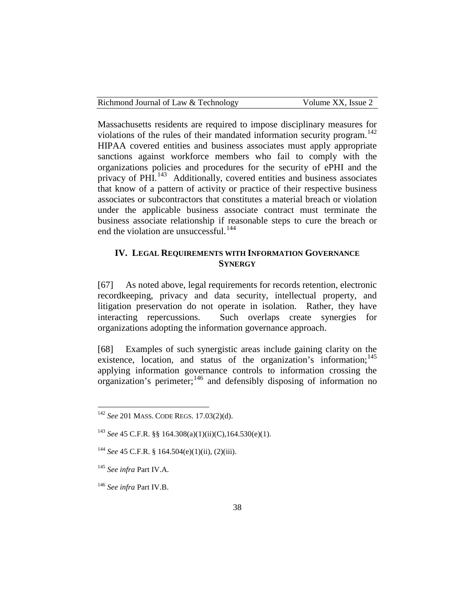| Richmond Journal of Law & Technology | Volume XX, Issue 2 |
|--------------------------------------|--------------------|
|--------------------------------------|--------------------|

Massachusetts residents are required to impose disciplinary measures for violations of the rules of their mandated information security program.<sup>[142](#page-38-0)</sup> HIPAA covered entities and business associates must apply appropriate sanctions against workforce members who fail to comply with the organizations policies and procedures for the security of ePHI and the privacy of PHI.<sup>[143](#page-38-1)</sup> Additionally, covered entities and business associates that know of a pattern of activity or practice of their respective business associates or subcontractors that constitutes a material breach or violation under the applicable business associate contract must terminate the business associate relationship if reasonable steps to cure the breach or end the violation are unsuccessful.<sup>[144](#page-38-2)</sup>

# **IV. LEGAL REQUIREMENTS WITH INFORMATION GOVERNANCE SYNERGY**

[67] As noted above, legal requirements for records retention, electronic recordkeeping, privacy and data security, intellectual property, and litigation preservation do not operate in isolation. Rather, they have interacting repercussions. Such overlaps create synergies for organizations adopting the information governance approach.

[68] Examples of such synergistic areas include gaining clarity on the existence, location, and status of the organization's information; $145$ applying information governance controls to information crossing the organization's perimeter;[146](#page-38-4) and defensibly disposing of information no

<span id="page-38-0"></span> <sup>142</sup> *See* 201 MASS. CODE REGS. 17.03(2)(d).

<span id="page-38-1"></span><sup>143</sup> *See* 45 C.F.R. §§ 164.308(a)(1)(ii)(C),164.530(e)(1).

<span id="page-38-2"></span><sup>144</sup> *See* 45 C.F.R. § 164.504(e)(1)(ii), (2)(iii).

<span id="page-38-3"></span><sup>145</sup> *See infra* Part IV.A.

<span id="page-38-4"></span><sup>146</sup> *See infra* Part IV.B.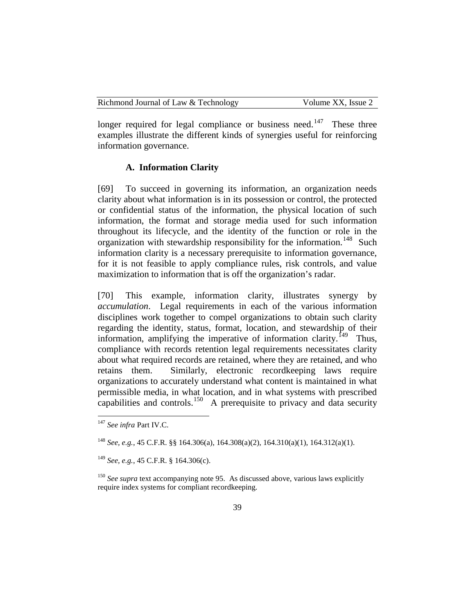| Richmond Journal of Law & Technology | Volume XX, Issue 2 |
|--------------------------------------|--------------------|
|--------------------------------------|--------------------|

longer required for legal compliance or business need.<sup>[147](#page-39-0)</sup> These three examples illustrate the different kinds of synergies useful for reinforcing information governance.

#### **A. Information Clarity**

[69] To succeed in governing its information, an organization needs clarity about what information is in its possession or control, the protected or confidential status of the information, the physical location of such information, the format and storage media used for such information throughout its lifecycle, and the identity of the function or role in the organization with stewardship responsibility for the information.<sup>[148](#page-39-1)</sup> Such information clarity is a necessary prerequisite to information governance, for it is not feasible to apply compliance rules, risk controls, and value maximization to information that is off the organization's radar.

[70] This example, information clarity, illustrates synergy by *accumulation*. Legal requirements in each of the various information disciplines work together to compel organizations to obtain such clarity regarding the identity, status, format, location, and stewardship of their information, amplifying the imperative of information clarity.<sup>149</sup> Thus, compliance with records retention legal requirements necessitates clarity about what required records are retained, where they are retained, and who retains them. Similarly, electronic recordkeeping laws require organizations to accurately understand what content is maintained in what permissible media, in what location, and in what systems with prescribed capabilities and controls.<sup>150</sup> A prerequisite to privacy and data security

<span id="page-39-0"></span> <sup>147</sup> *See infra* Part IV.C.

<span id="page-39-1"></span><sup>148</sup> *See, e.g.*, 45 C.F.R. §§ 164.306(a), 164.308(a)(2), 164.310(a)(1), 164.312(a)(1).

<span id="page-39-2"></span><sup>149</sup> *See, e.g.*, 45 C.F.R. § 164.306(c).

<span id="page-39-3"></span><sup>&</sup>lt;sup>150</sup> See supra text accompanying note 95. As discussed above, various laws explicitly require index systems for compliant recordkeeping.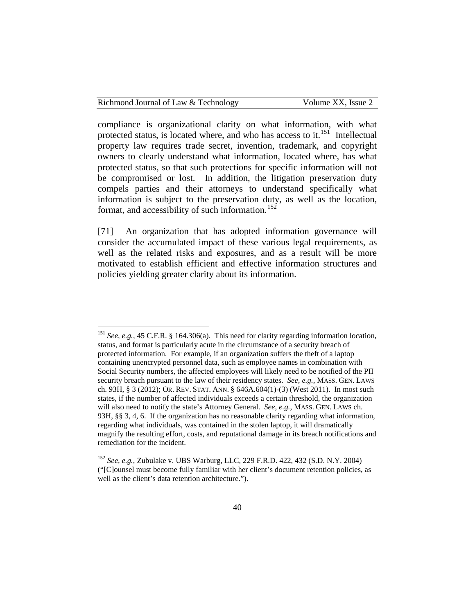Volume XX, Issue 2

compliance is organizational clarity on what information, with what protected status, is located where, and who has access to it.<sup>151</sup> Intellectual property law requires trade secret, invention, trademark, and copyright owners to clearly understand what information, located where, has what protected status, so that such protections for specific information will not be compromised or lost. In addition, the litigation preservation duty compels parties and their attorneys to understand specifically what information is subject to the preservation duty, as well as the location, format, and accessibility of such information.<sup>[152](#page-40-1)</sup>

[71] An organization that has adopted information governance will consider the accumulated impact of these various legal requirements, as well as the related risks and exposures, and as a result will be more motivated to establish efficient and effective information structures and policies yielding greater clarity about its information.

<span id="page-40-0"></span> <sup>151</sup> *See, e.g.*, 45 C.F.R. § 164.306(a). This need for clarity regarding information location, status, and format is particularly acute in the circumstance of a security breach of protected information. For example, if an organization suffers the theft of a laptop containing unencrypted personnel data, such as employee names in combination with Social Security numbers, the affected employees will likely need to be notified of the PII security breach pursuant to the law of their residency states. *See, e.g.*, MASS. GEN. LAWS ch. 93H, § 3 (2012); OR. REV. STAT. ANN. § 646A.604(1)-(3) (West 2011). In most such states, if the number of affected individuals exceeds a certain threshold, the organization will also need to notify the state's Attorney General. *See, e.g.*, MASS. GEN. LAWS ch. 93H, §§ 3, 4, 6. If the organization has no reasonable clarity regarding what information, regarding what individuals, was contained in the stolen laptop, it will dramatically magnify the resulting effort, costs, and reputational damage in its breach notifications and remediation for the incident.

<span id="page-40-1"></span><sup>152</sup> *See, e.g.*, Zubulake v. UBS Warburg, LLC*,* 229 F.R.D. 422, 432 (S.D. N.Y. 2004) ("[C]ounsel must become fully familiar with her client's document retention policies, as well as the client's data retention architecture.").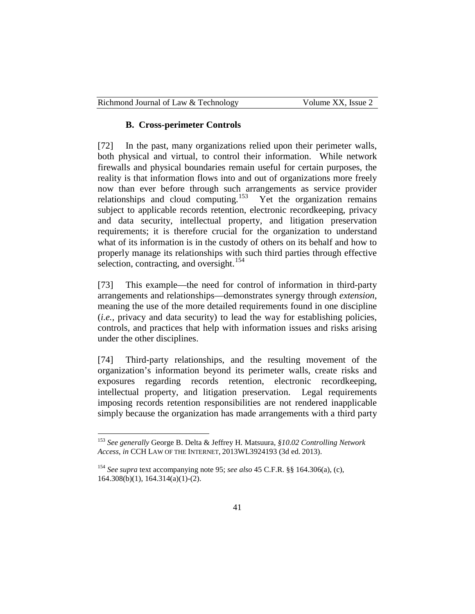#### **B. Cross-perimeter Controls**

[72] In the past, many organizations relied upon their perimeter walls, both physical and virtual, to control their information. While network firewalls and physical boundaries remain useful for certain purposes, the reality is that information flows into and out of organizations more freely now than ever before through such arrangements as service provider relationships and cloud computing.<sup>[153](#page-41-0)</sup> Yet the organization remains subject to applicable records retention, electronic recordkeeping, privacy and data security, intellectual property, and litigation preservation requirements; it is therefore crucial for the organization to understand what of its information is in the custody of others on its behalf and how to properly manage its relationships with such third parties through effective selection, contracting, and oversight.<sup>[154](#page-41-1)</sup>

[73] This example—the need for control of information in third-party arrangements and relationships—demonstrates synergy through *extension*, meaning the use of the more detailed requirements found in one discipline (*i.e.,* privacy and data security) to lead the way for establishing policies, controls, and practices that help with information issues and risks arising under the other disciplines.

[74] Third-party relationships, and the resulting movement of the organization's information beyond its perimeter walls, create risks and exposures regarding records retention, electronic recordkeeping, intellectual property, and litigation preservation. Legal requirements imposing records retention responsibilities are not rendered inapplicable simply because the organization has made arrangements with a third party

<span id="page-41-0"></span> <sup>153</sup> *See generally* George B. Delta & Jeffrey H. Matsuura, *§10.02 Controlling Network Access*, *in* CCH LAW OF THE INTERNET, 2013WL3924193 (3d ed. 2013).

<span id="page-41-1"></span><sup>154</sup> *See supra* text accompanying note 95; *see also* 45 C.F.R. §§ 164.306(a), (c), 164.308(b)(1), 164.314(a)(1)-(2).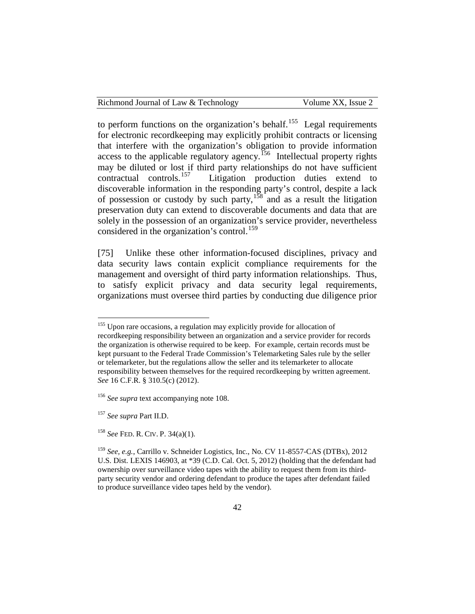| Richmond Journal of Law & Technology | Volume XX, Issue 2 |
|--------------------------------------|--------------------|
|                                      |                    |

to perform functions on the organization's behalf.<sup>[155](#page-42-0)</sup> Legal requirements for electronic recordkeeping may explicitly prohibit contracts or licensing that interfere with the organization's obligation to provide information access to the applicable regulatory agency.<sup>156</sup> Intellectual property rights may be diluted or lost if third party relationships do not have sufficient contractual controls.<sup>157</sup> Litigation production duties extend to Litigation production duties extend to discoverable information in the responding party's control, despite a lack of possession or custody by such party, $158$  and as a result the litigation preservation duty can extend to discoverable documents and data that are solely in the possession of an organization's service provider, nevertheless considered in the organization's control.<sup>[159](#page-42-4)</sup>

[75] Unlike these other information-focused disciplines, privacy and data security laws contain explicit compliance requirements for the management and oversight of third party information relationships. Thus, to satisfy explicit privacy and data security legal requirements, organizations must oversee third parties by conducting due diligence prior

<span id="page-42-0"></span><sup>&</sup>lt;sup>155</sup> Upon rare occasions, a regulation may explicitly provide for allocation of recordkeeping responsibility between an organization and a service provider for records the organization is otherwise required to be keep. For example, certain records must be kept pursuant to the Federal Trade Commission's Telemarketing Sales rule by the seller or telemarketer, but the regulations allow the seller and its telemarketer to allocate responsibility between themselves for the required recordkeeping by written agreement. *See* 16 C.F.R. § 310.5(c) (2012).

<span id="page-42-1"></span><sup>&</sup>lt;sup>156</sup> See supra text accompanying note 108.

<span id="page-42-2"></span><sup>157</sup> *See supra* Part II.D.

<span id="page-42-3"></span><sup>158</sup> *See* FED. R. CIV. P. 34(a)(1).

<span id="page-42-4"></span><sup>159</sup> *See, e.g.*, Carrillo v. Schneider Logistics, Inc., No. CV 11-8557-CAS (DTBx), 2012 U.S. Dist. LEXIS 146903, at \*39 (C.D. Cal. Oct. 5, 2012) (holding that the defendant had ownership over surveillance video tapes with the ability to request them from its thirdparty security vendor and ordering defendant to produce the tapes after defendant failed to produce surveillance video tapes held by the vendor).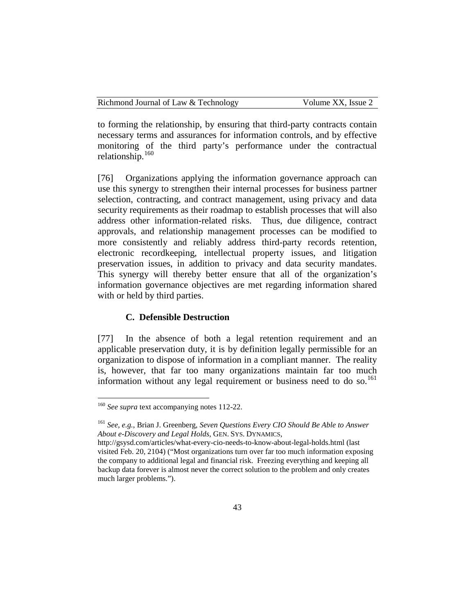| Richmond Journal of Law & Technology | Volume XX, Issue 2 |
|--------------------------------------|--------------------|
|--------------------------------------|--------------------|

to forming the relationship, by ensuring that third-party contracts contain necessary terms and assurances for information controls, and by effective monitoring of the third party's performance under the contractual relationship.[160](#page-43-0)

[76] Organizations applying the information governance approach can use this synergy to strengthen their internal processes for business partner selection, contracting, and contract management, using privacy and data security requirements as their roadmap to establish processes that will also address other information-related risks. Thus, due diligence, contract approvals, and relationship management processes can be modified to more consistently and reliably address third-party records retention, electronic recordkeeping, intellectual property issues, and litigation preservation issues, in addition to privacy and data security mandates. This synergy will thereby better ensure that all of the organization's information governance objectives are met regarding information shared with or held by third parties.

## **C. Defensible Destruction**

[77] In the absence of both a legal retention requirement and an applicable preservation duty, it is by definition legally permissible for an organization to dispose of information in a compliant manner. The reality is, however, that far too many organizations maintain far too much information without any legal requirement or business need to do so. $^{161}$  $^{161}$  $^{161}$ 

<span id="page-43-0"></span><sup>&</sup>lt;sup>160</sup> *See supra* text accompanying notes 112-22.

<span id="page-43-1"></span><sup>161</sup> *See, e.g.*, Brian J. Greenberg, *Seven Questions Every CIO Should Be Able to Answer About e-Discovery and Legal Holds*, GEN. SYS. DYNAMICS,

http://gsysd.com/articles/what-every-cio-needs-to-know-about-legal-holds.html (last visited Feb. 20, 2104) ("Most organizations turn over far too much information exposing the company to additional legal and financial risk. Freezing everything and keeping all backup data forever is almost never the correct solution to the problem and only creates much larger problems.").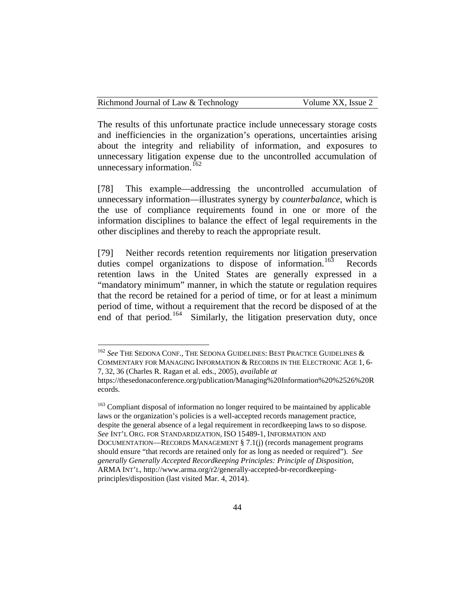The results of this unfortunate practice include unnecessary storage costs and inefficiencies in the organization's operations, uncertainties arising about the integrity and reliability of information, and exposures to unnecessary litigation expense due to the uncontrolled accumulation of unnecessary information.<sup>[162](#page-44-0)</sup>

[78] This example—addressing the uncontrolled accumulation of unnecessary information—illustrates synergy by *counterbalance*, which is the use of compliance requirements found in one or more of the information disciplines to balance the effect of legal requirements in the other disciplines and thereby to reach the appropriate result.

[79] Neither records retention requirements nor litigation preservation duties compel organizations to dispose of information.<sup>163</sup> Records retention laws in the United States are generally expressed in a "mandatory minimum" manner, in which the statute or regulation requires that the record be retained for a period of time, or for at least a minimum period of time, without a requirement that the record be disposed of at the end of that period.<sup>164</sup> Similarly, the litigation preservation duty, once

<span id="page-44-2"></span><span id="page-44-0"></span> <sup>162</sup> *See* THE SEDONA CONF., THE SEDONA GUIDELINES: BEST PRACTICE GUIDELINES & COMMENTARY FOR MANAGING INFORMATION & RECORDS IN THE ELECTRONIC AGE 1, 6- 7, 32, 36 (Charles R. Ragan et al. eds., 2005), *available at*

https://thesedonaconference.org/publication/Managing%20Information%20%2526%20R ecords.

<span id="page-44-1"></span><sup>&</sup>lt;sup>163</sup> Compliant disposal of information no longer required to be maintained by applicable laws or the organization's policies is a well-accepted records management practice, despite the general absence of a legal requirement in recordkeeping laws to so dispose. *See* INT'L ORG. FOR STANDARDIZATION, ISO 15489-1, INFORMATION AND DOCUMENTATION—RECORDS MANAGEMENT § 7.1(j) (records management programs should ensure "that records are retained only for as long as needed or required"). *See generally Generally Accepted Recordkeeping Principles: Principle of Disposition*, ARMA INT'L, http://www.arma.org/r2/generally-accepted-br-recordkeepingprinciples/disposition (last visited Mar. 4, 2014).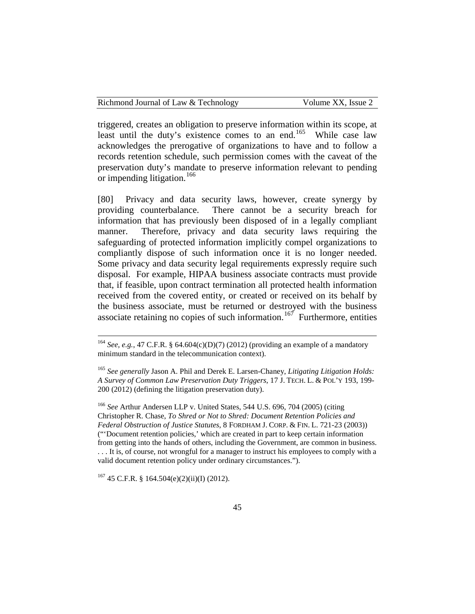triggered, creates an obligation to preserve information within its scope, at least until the duty's existence comes to an end.<sup>165</sup> While case law acknowledges the prerogative of organizations to have and to follow a records retention schedule, such permission comes with the caveat of the preservation duty's mandate to preserve information relevant to pending or impending litigation.<sup>[166](#page-45-1)</sup>

[80] Privacy and data security laws, however, create synergy by providing counterbalance. There cannot be a security breach for information that has previously been disposed of in a legally compliant manner. Therefore, privacy and data security laws requiring the safeguarding of protected information implicitly compel organizations to compliantly dispose of such information once it is no longer needed. Some privacy and data security legal requirements expressly require such disposal. For example, HIPAA business associate contracts must provide that, if feasible, upon contract termination all protected health information received from the covered entity, or created or received on its behalf by the business associate, must be returned or destroyed with the business associate retaining no copies of such information.<sup>167</sup> Furthermore, entities

<span id="page-45-1"></span><sup>166</sup> *See* Arthur Andersen LLP v. United States, 544 U.S. 696, 704 (2005) (citing Christopher R. Chase, *To Shred or Not to Shred: Document Retention Policies and Federal Obstruction of Justice Statutes*, 8 FORDHAM J. CORP. & FIN. L. 721-23 (2003)) ("'Document retention policies,' which are created in part to keep certain information from getting into the hands of others, including the Government, are common in business. . . . It is, of course, not wrongful for a manager to instruct his employees to comply with a valid document retention policy under ordinary circumstances.").

<span id="page-45-2"></span> $167$  45 C.F.R. § 164.504(e)(2)(ii)(I) (2012).

 <sup>164</sup> *See, e.g.*, 47 C.F.R. § 64.604(c)(D)(7) (2012) (providing an example of a mandatory minimum standard in the telecommunication context).

<span id="page-45-0"></span><sup>165</sup> *See generally* Jason A. Phil and Derek E. Larsen-Chaney, *Litigating Litigation Holds: A Survey of Common Law Preservation Duty Triggers*, 17 J. TECH. L. & POL'Y 193, 199- 200 (2012) (defining the litigation preservation duty).